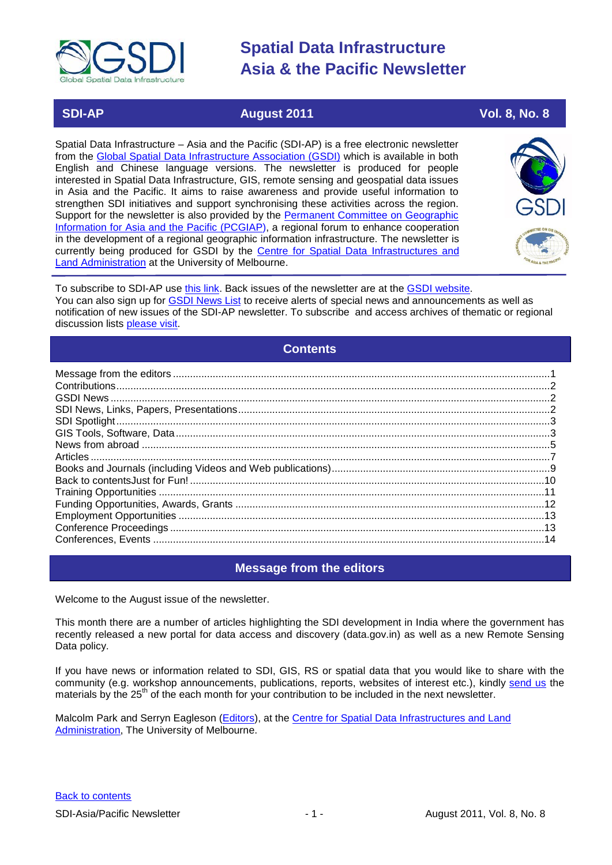

## **SDI-AP August 2011 Vol. 8, No. 8**

Spatial Data Infrastructure – Asia and the Pacific (SDI-AP) is a free electronic newsletter from the [Global Spatial Data Infrastructure Association \(GSDI\)](http://www.gsdi.org/) which is available in both English and Chinese language versions. The newsletter is produced for people interested in Spatial Data Infrastructure, GIS, remote sensing and geospatial data issues in Asia and the Pacific. It aims to raise awareness and provide useful information to strengthen SDI initiatives and support synchronising these activities across the region. Support for the newsletter is also provided by the Permanent Committee on Geographic [Information for Asia and the Pacific \(PCGIAP\)](http://www.pcgiap.org/), a regional forum to enhance cooperation in the development of a regional geographic information infrastructure. The newsletter is currently being produced for GSDI by the [Centre for Spatial Data Infrastructures and](http://www.csdila.unimelb.edu.au/)  [Land Administration](http://www.csdila.unimelb.edu.au/) at the University of Melbourne.



To subscribe to SDI-AP use [this link.](http://www.gsdi.org/newslist/gsdisubscribe.asp) Back issues of the newsletter are at the [GSDI website.](http://www.gsdi.org/newsletters.asp) You can also sign up for **GSDI News List** to receive alerts of special news and announcements as well as notification of new issues of the SDI-AP newsletter. To subscribe and access archives of thematic or regional discussion lists [please visit.](http://www.gsdi.org/discussionlists.asp)

### **Contents**

<span id="page-0-0"></span>

### **Message from the editors**

<span id="page-0-1"></span>Welcome to the August issue of the newsletter.

This month there are a number of articles highlighting the SDI development in India where the government has recently released a new portal for data access and discovery (data.gov.in) as well as a new Remote Sensing Data policy.

If you have news or information related to SDI, GIS, RS or spatial data that you would like to share with the community (e.g. workshop announcements, publications, reports, websites of interest etc.), kindly [send us](mailto:.SDI-AP@gsdi.org) the materials by the 25<sup>th</sup> of the each month for your contribution to be included in the next newsletter.

Malcolm Park and Serryn Eagleson [\(Editors\)](mailto:Editor.SDIAP@gmail.com), at the [Centre for Spatial Data Infrastructures and Land](http://www.csdila.unimelb.edu.au/)  [Administration,](http://www.csdila.unimelb.edu.au/) The University of Melbourne.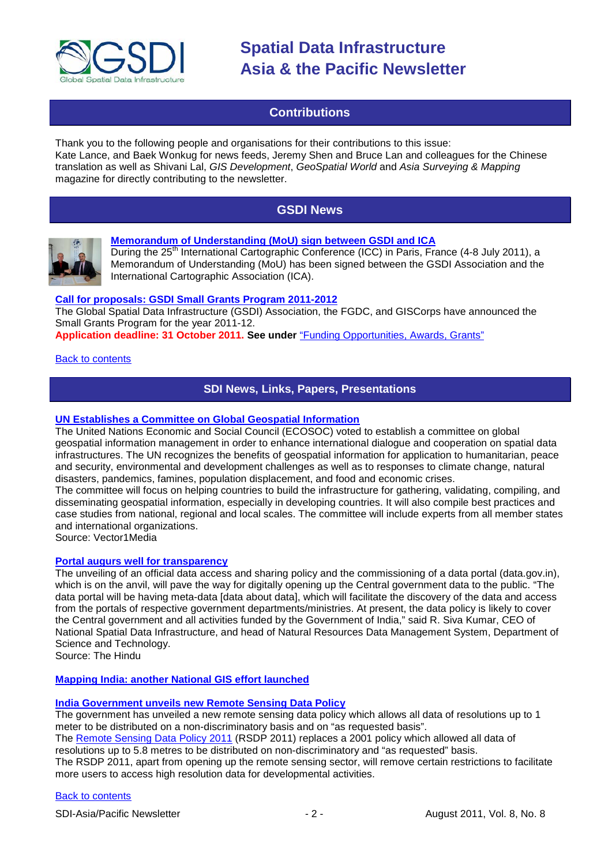

### **Contributions**

<span id="page-1-0"></span>Thank you to the following people and organisations for their contributions to this issue: Kate Lance, and Baek Wonkug for news feeds, Jeremy Shen and Bruce Lan and colleagues for the Chinese translation as well as Shivani Lal, *GIS Development*, *GeoSpatial World* and *Asia Surveying & Mapping* magazine for directly contributing to the newsletter.

## **GSDI News**

<span id="page-1-1"></span>

### **[Memorandum of Understanding \(MoU\) sign between GSDI and ICA](http://www.gsdi.org/node/314)**

During the 25<sup>th</sup> International Cartographic Conference (ICC) in Paris, France (4-8 July 2011), a Memorandum of Understanding (MoU) has been signed between the GSDI Association and the International Cartographic Association (ICA).

#### **[Call for proposals: GSDI Small Grants Program 2011-2012](http://www.gsdi.org/node/315)**

The Global Spatial Data Infrastructure (GSDI) Association, the FGDC, and GISCorps have announced the Small Grants Program for the year 2011-12.

**Application deadline: 31 October 2011. See under** ["Funding Opportunities, Awards, Grants"](#page-11-0)

#### <span id="page-1-2"></span>[Back to contents](#page-0-0)

### **SDI News, Links, Papers, Presentations**

#### **UN Establishes [a Committee on Global Geospatial Information](http://www.vector1media.com/spatialsustain/un-establishes-a-committee-on-global-geospatial-information.html?utm_source=feedburner&utm_medium=feed&utm_campaign=Feed%3A+SpatialSustain+%28Spatial+Sustain%29&utm_content=Google+Reader)**

The United Nations Economic and Social Council (ECOSOC) voted to establish a committee on global geospatial information management in order to enhance international dialogue and cooperation on spatial data infrastructures. The UN recognizes the benefits of geospatial information for application to humanitarian, peace and security, environmental and development challenges as well as to responses to climate change, natural disasters, pandemics, famines, population displacement, and food and economic crises.

The committee will focus on helping countries to build the infrastructure for gathering, validating, compiling, and disseminating geospatial information, especially in developing countries. It will also compile best practices and case studies from national, regional and local scales. The committee will include experts from all member states and international organizations.

Source: Vector1Media

#### **[Portal augurs well for transparency](http://www.thehindu.com/news/national/article2290880.ece)**

The unveiling of an official data access and sharing policy and the commissioning of a data portal (data.gov.in), which is on the anvil, will pave the way for digitally opening up the Central government data to the public. "The data portal will be having meta-data [data about data], which will facilitate the discovery of the data and access from the portals of respective government departments/ministries. At present, the data policy is likely to cover the Central government and all activities funded by the Government of India," said R. Siva Kumar, CEO of National Spatial Data Infrastructure, and head of Natural Resources Data Management System, Department of Science and Technology.

Source: The Hindu

#### **[Mapping India: another National GIS effort launched](http://suvratk.blogspot.com/2011/07/mapping-india-another-national-gis.html)**

#### **India Government unveils [new Remote Sensing Data Policy](http://www.dnaindia.com/india/report_government-unveils-new-remote-sensing-data-policy_1562713)**

The government has unveiled a new remote sensing data policy which allows all data of resolutions up to 1 meter to be distributed on a non-discriminatory basis and on "as requested basis".

The [Remote Sensing Data Policy 2011](http://www.isro.org/news/pdf/RSDP-2011.pdf) (RSDP 2011) replaces a 2001 policy which allowed all data of resolutions up to 5.8 metres to be distributed on non-discriminatory and "as requested" basis.

The RSDP 2011, apart from opening up the remote sensing sector, will remove certain restrictions to facilitate more users to access high resolution data for developmental activities.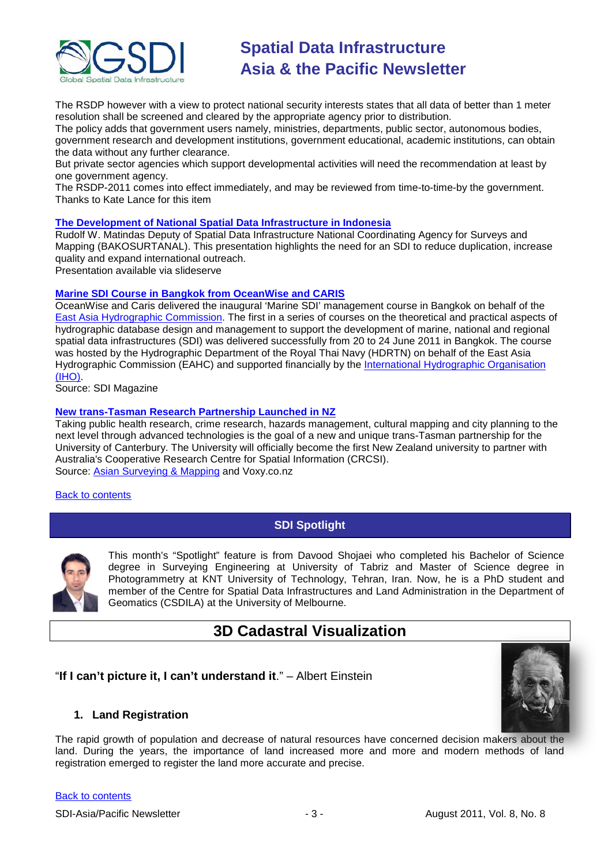

The RSDP however with a view to protect national security interests states that all data of better than 1 meter resolution shall be screened and cleared by the appropriate agency prior to distribution.

The policy adds that government users namely, ministries, departments, public sector, autonomous bodies, government research and development institutions, government educational, academic institutions, can obtain the data without any further clearance.

But private sector agencies which support developmental activities will need the recommendation at least by one government agency.

The RSDP-2011 comes into effect immediately, and may be reviewed from time-to-time-by the government. Thanks to Kate Lance for this item

#### **[The Development of National Spatial Data Infrastructure in Indonesia](http://www.slideserve.com/presentation/101094/The-Development-of-National-Spatial-Data-Infrastructure-in-Indonesia)**

Rudolf W. Matindas Deputy of Spatial Data Infrastructure National Coordinating Agency for Surveys and Mapping (BAKOSURTANAL). This presentation highlights the need for an SDI to reduce duplication, increase quality and expand international outreach.

Presentation available via slideserve

#### **[Marine SDI Course in Bangkok from OceanWise and CARIS](http://www.sdimag.com/20110714169/news/corporate/marine-sdi-course-in-bangkok-from-oceanwise-and-caris.html)**

OceanWise and Caris delivered the inaugural 'Marine SDI' management course in Bangkok on behalf of the [East Asia Hydrographic Commission.](http://home.eahc.asia/) The first in a series of courses on the theoretical and practical aspects of hydrographic database design and management to support the development of marine, national and regional spatial data infrastructures (SDI) was delivered successfully from 20 to 24 June 2011 in Bangkok. The course was hosted by the Hydrographic Department of the Royal Thai Navy (HDRTN) on behalf of the East Asia Hydrographic Commission (EAHC) and supported financially by the International Hydrographic Organisation [\(IHO\).](http://www.iho.int/)

Source: SDI Magazine

#### **[New trans-Tasman Research Partnership Launched in NZ](http://www.voxy.co.nz/politics/new-trans-tasman-research-partnership-launched-parliament/5/95019)**

Taking public health research, crime research, hazards management, cultural mapping and city planning to the next level through advanced technologies is the goal of a new and unique trans-Tasman partnership for the University of Canterbury. The University will officially become the first New Zealand university to partner with Australia's Cooperative Research Centre for Spatial Information (CRCSI). Source: [Asian Surveying & Mapping](http://www.asmmag.com/201107141763/new-trans-tasman-rsch-partnership-launched-in-nz.html) and Voxy.co.nz

#### <span id="page-2-0"></span>[Back to contents](#page-0-0)

### **SDI Spotlight**



<span id="page-2-1"></span>This month's "Spotlight" feature is from Davood Shojaei who completed his Bachelor of Science degree in Surveying Engineering at University of Tabriz and Master of Science degree in Photogrammetry at [KNT University of Technology,](http://www.kntu.ac.ir/) Tehran, Iran. Now, he is a PhD student and member of the Centre for Spatial Data Infrastructures and Land Administration in the Department of Geomatics [\(CSDILA\)](http://csdila.unimelb.edu.au/) at [the University of Melbourne.](http://www.unimelb.edu.au/)

## **3D Cadastral Visualization**

#### "**If I can't picture it, I can't understand it**." – Albert Einstein



#### **1. Land Registration**

The rapid growth of population and decrease of natural resources have concerned decision makers about the land. During the years, the importance of land increased more and more and modern methods of land registration emerged to register the land more accurate and precise.

#### [Back to contents](#page-0-0)

SDI-Asia/Pacific Newsletter  $\sim$  3 - August 2011, Vol. 8, No. 8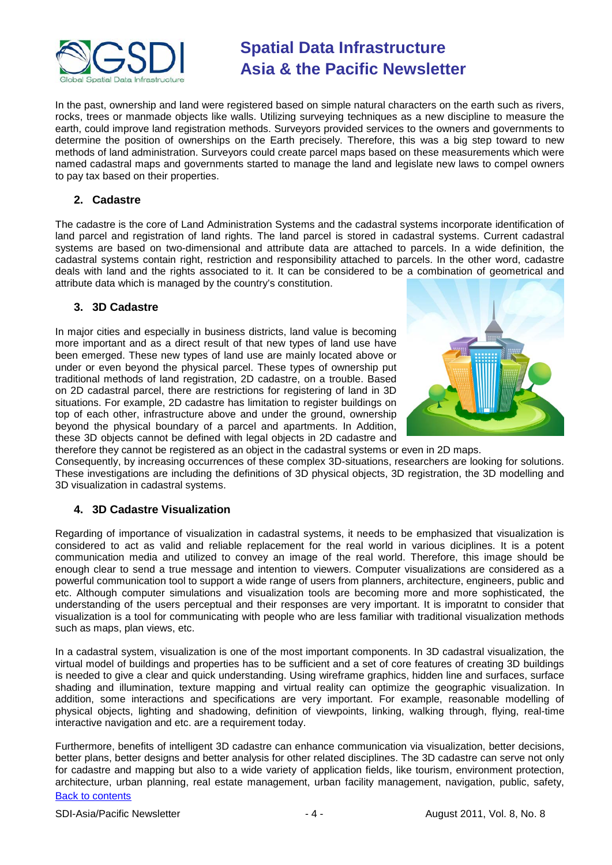

In the past, ownership and land were registered based on simple natural characters on the earth such as rivers, rocks, trees or manmade objects like walls. Utilizing surveying techniques as a new discipline to measure the earth, could improve land registration methods. Surveyors provided services to the owners and governments to determine the position of ownerships on the Earth precisely. Therefore, this was a big step toward to new methods of land administration. Surveyors could create parcel maps based on these measurements which were named cadastral maps and governments started to manage the land and legislate new laws to compel owners to pay tax based on their properties.

### **2. Cadastre**

The cadastre is the core of Land Administration Systems and the cadastral systems incorporate identification of land parcel and registration of land rights. The land parcel is stored in cadastral systems. Current cadastral systems are based on two-dimensional and attribute data are attached to parcels. In a wide definition, the cadastral systems contain right, restriction and responsibility attached to parcels. In the other word, cadastre deals with land and the rights associated to it. It can be considered to be a combination of geometrical and attribute data which is managed by the country's constitution.

#### **3. 3D Cadastre**

In major cities and especially in business districts, land value is becoming more important and as a direct result of that new types of land use have been emerged. These new types of land use are mainly located above or under or even beyond the physical parcel. These types of ownership put traditional methods of land registration, 2D cadastre, on a trouble. Based on 2D cadastral parcel, there are restrictions for registering of land in 3D situations. For example, 2D cadastre has limitation to register buildings on top of each other, infrastructure above and under the ground, ownership beyond the physical boundary of a parcel and apartments. In Addition, these 3D objects cannot be defined with legal objects in 2D cadastre and



therefore they cannot be registered as an object in the cadastral systems or even in 2D maps.

Consequently, by increasing occurrences of these complex 3D-situations, researchers are looking for solutions. These investigations are including the definitions of 3D physical objects, 3D registration, the 3D modelling and 3D visualization in cadastral systems.

### **4. 3D Cadastre Visualization**

Regarding of importance of visualization in cadastral systems, it needs to be emphasized that visualization is considered to act as valid and reliable replacement for the real world in various diciplines. It is a potent communication media and utilized to convey an image of the real world. Therefore, this image should be enough clear to send a true message and intention to viewers. Computer visualizations are considered as a powerful communication tool to support a wide range of users from planners, architecture, engineers, public and etc. Although computer simulations and visualization tools are becoming more and more sophisticated, the understanding of the users perceptual and their responses are very important. It is imporatnt to consider that visualization is a tool for communicating with people who are less familiar with traditional visualization methods such as maps, plan views, etc.

In a cadastral system, visualization is one of the most important components. In 3D cadastral visualization, the virtual model of buildings and properties has to be sufficient and a set of core features of creating 3D buildings is needed to give a clear and quick understanding. Using wireframe graphics, hidden line and surfaces, surface shading and illumination, texture mapping and virtual reality can optimize the geographic visualization. In addition, some interactions and specifications are very important. For example, reasonable modelling of physical objects, lighting and shadowing, definition of viewpoints, linking, walking through, flying, real-time interactive navigation and etc. are a requirement today.

[Back to contents](#page-0-0) Furthermore, benefits of intelligent 3D cadastre can enhance communication via visualization, better decisions, better plans, better designs and better analysis for other related disciplines. The 3D cadastre can serve not only for cadastre and mapping but also to a wide variety of application fields, like tourism, environment protection, architecture, urban planning, real estate management, urban facility management, navigation, public, safety,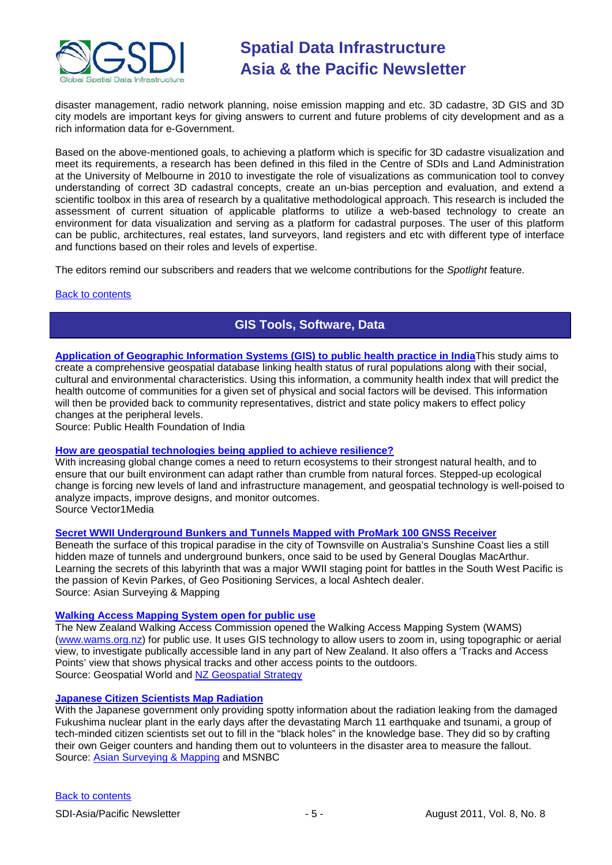

disaster management, radio network planning, noise emission mapping and etc. 3D cadastre, 3D GIS and 3D city models are important keys for giving answers to current and future problems of city development and as a rich information data for e-Government.

Based on the above-mentioned goals, to achieving a platform which is specific for 3D cadastre visualization and meet its requirements, a research has been defined in this filed in the Centre of SDIs and Land Administration at the University of Melbourne in 2010 to investigate the role of visualizations as communication tool to convey understanding of correct 3D cadastral concepts, create an un-bias perception and evaluation, and extend a scientific toolbox in this area of research by a qualitative methodological approach. This research is included the assessment of current situation of applicable platforms to utilize a web-based technology to create an environment for data visualization and serving as a platform for cadastral purposes. The user of this platform can be public, architectures, real estates, land surveyors, land registers and etc with different type of interface and functions based on their roles and levels of expertise.

The editors remind our subscribers and readers that we welcome contributions for the *Spotlight* feature.

#### [Back to contents](#page-0-0)

### **GIS Tools, Software, Data**

**[Application of Geographic Information Systems \(GIS\) to public health practice in India](http://www.phfi.org/index.php?option=com_content&view=article&id=203%3Aapplication-of-geographic-information-systems-gis-to-public-health-practice-in-india&catid=94%3Ahealth-system-and-policy-current-projects&Itemid=252)**This study aims to create a comprehensive geospatial database linking health status of rural populations along with their social, cultural and environmental characteristics. Using this information, a community health index that will predict the health outcome of communities for a given set of physical and social factors will be devised. This information will then be provided back to community representatives, district and state policy makers to effect policy changes at the peripheral levels.

Source: Public Health Foundation of India

#### **[How are geospatial technologies being applied to achieve resilience?](http://www.vector1media.com/spatialsustain/how-are-geospatial-technologies-being-applied-to-achieve-resilience.html?utm_source=feedburner&utm_medium=feed&utm_campaign=Feed%3A+SpatialSustain+%28Spatial+Sustain%29&utm_content=Google+Reader)**

With increasing global change comes a need to return ecosystems to their strongest natural health, and to ensure that our built environment can adapt rather than crumble from natural forces. Stepped-up ecological change is forcing new levels of land and infrastructure management, and geospatial technology is well-poised to analyze impacts, improve designs, and monitor outcomes. Source Vector1Media

**[Secret WWII Underground Bunkers and Tunnels Mapped with ProMark 100 GNSS Receiver](http://www.asmmag.com/201107211814/secret-wwii-underground-bunkers-and-tunnels-mapped-with-promark-100-gnss-receiver.html)**

Beneath the surface of this tropical paradise in the city of Townsville on Australia's Sunshine Coast lies a still hidden maze of tunnels and underground bunkers, once said to be used by General Douglas MacArthur. Learning the secrets of this labyrinth that was a major WWII staging point for battles in the South West Pacific is the passion of Kevin Parkes, of Geo Positioning Services, a local Ashtech dealer. Source: Asian Surveying & Mapping

#### <span id="page-4-0"></span>**[Walking Access Mapping System open for public use](http://www.geospatialworld.net/index.php?option=com_content&view=article&id=22700:walking-access-mapping-system-open-for-public-use&catid=47&Itemid=1)**

The New Zealand Walking Access Commission opened the Walking Access Mapping System (WAMS) [\(www.wams.org.nz\)](http://www.wams.org.nz/) for public use. It uses GIS technology to allow users to zoom in, using topographic or aerial view, to investigate publically accessible land in any part of New Zealand. It also offers a 'Tracks and Access Points' view that shows physical tracks and other access points to the outdoors. Source: Geospatial World and [NZ Geospatial Strategy](http://www.geospatial.govt.nz/walking-access-mapping-system-open-for-public-use)

#### **[Japanese Citizen Scientists Map Radiation](http://worldblog.msnbc.msn.com/_news/2011/07/12/7036501-japans-citizen-scientists-map-radiation-diy-style)**

With the Japanese government only providing spotty information about the radiation leaking from the damaged Fukushima nuclear plant in the early days after the devastating March 11 earthquake and tsunami, a group of tech-minded citizen scientists set out to fill in the "black holes" in the knowledge base. They did so by crafting their own Geiger counters and handing them out to volunteers in the disaster area to measure the fallout. Source: [Asian Surveying & Mapping](http://www.asmmag.com/201107121752/japanese-citizen-scientists-map-radiation.html) and MSNBC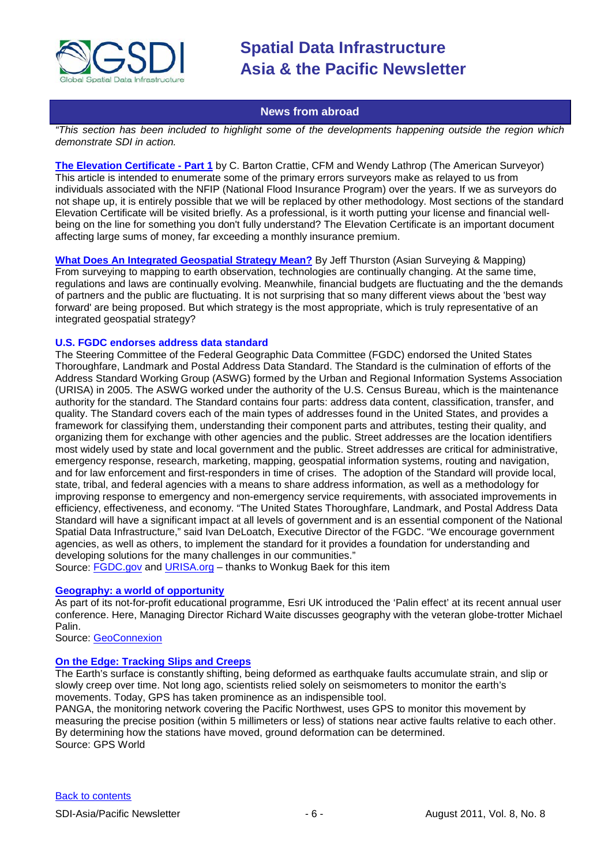

#### **News from abroad**

*"This section has been included to highlight some of the developments happening outside the region which demonstrate SDI in action.*

**[The Elevation Certificate -](http://www.amerisurv.com/content/view/8870/153/) Part 1** by C. Barton Crattie, CFM and Wendy Lathrop (The American Surveyor) This article is intended to enumerate some of the primary errors surveyors make as relayed to us from individuals associated with the NFIP (National Flood Insurance Program) over the years. If we as surveyors do not shape up, it is entirely possible that we will be replaced by other methodology. Most sections of the standard Elevation Certificate will be visited briefly. As a professional, is it worth putting your license and financial wellbeing on the line for something you don't fully understand? The Elevation Certificate is an important document affecting large sums of money, far exceeding a monthly insurance premium.

**[What Does An Integrated Geospatial](http://www.asmmag.com/201107261859/what-does-an-integrated-geospatial-strategy-mean.html) Strategy Mean?** By Jeff Thurston (Asian Surveying & Mapping) From surveying to mapping to earth observation, technologies are continually changing. At the same time, regulations and laws are continually evolving. Meanwhile, financial budgets are fluctuating and the the demands of partners and the public are fluctuating. It is not surprising that so many different views about the 'best way forward' are being proposed. But which strategy is the most appropriate, which is truly representative of an integrated geospatial strategy?

#### **U.S. FGDC endorses address data standard**

The Steering Committee of the Federal Geographic Data Committee (FGDC) endorsed the United States Thoroughfare, Landmark and Postal Address Data Standard. The Standard is the culmination of efforts of the Address Standard Working Group (ASWG) formed by the Urban and Regional Information Systems Association (URISA) in 2005. The ASWG worked under the authority of the U.S. Census Bureau, which is the maintenance authority for the standard. The Standard contains four parts: address data content, classification, transfer, and quality. The Standard covers each of the main types of addresses found in the United States, and provides a framework for classifying them, understanding their component parts and attributes, testing their quality, and organizing them for exchange with other agencies and the public. Street addresses are the location identifiers most widely used by state and local government and the public. Street addresses are critical for administrative, emergency response, research, marketing, mapping, geospatial information systems, routing and navigation, and for law enforcement and first-responders in time of crises. The adoption of the Standard will provide local, state, tribal, and federal agencies with a means to share address information, as well as a methodology for improving response to emergency and non-emergency service requirements, with associated improvements in efficiency, effectiveness, and economy. "The United States Thoroughfare, Landmark, and Postal Address Data Standard will have a significant impact at all levels of government and is an essential component of the National Spatial Data Infrastructure," said Ivan DeLoatch, Executive Director of the FGDC. "We encourage government agencies, as well as others, to implement the standard for it provides a foundation for understanding and developing solutions for the many challenges in our communities." Source: [FGDC.gov](http://www.fgdc.gov/fgdc-news/fgdc-endorses-address-data-standard) and [URISA.org](http://www.fgdc.gov/fgdc-news/fgdc-endorses-address-data-standard) – thanks to Wonkug Baek for this item

#### **[Geography: a world of opportunity](http://www.geoconnexion.com/uploads/training&ed_ukv9i4.pdf)**

As part of its not-for-profit educational programme, Esri UK introduced the 'Palin effect' at its recent annual user conference. Here, Managing Director Richard Waite discusses geography with the veteran globe-trotter Michael Palin.

Source: [GeoConnexion](http://www.geoconnexion.com/geoconnexionuk.php)

#### **[On the Edge: Tracking Slips and Creeps](http://www.gpsworld.com/government/emergency-response/on-edge-tracking-slips-and-creeps-11843)**

The Earth's surface is constantly shifting, being deformed as earthquake faults accumulate strain, and slip or slowly creep over time. Not long ago, scientists relied solely on seismometers to monitor the earth's movements. Today, GPS has taken prominence as an indispensible tool.

PANGA, the monitoring network covering the Pacific Northwest, uses GPS to monitor this movement by measuring the precise position (within 5 millimeters or less) of stations near active faults relative to each other. By determining how the stations have moved, ground deformation can be determined. Source: GPS World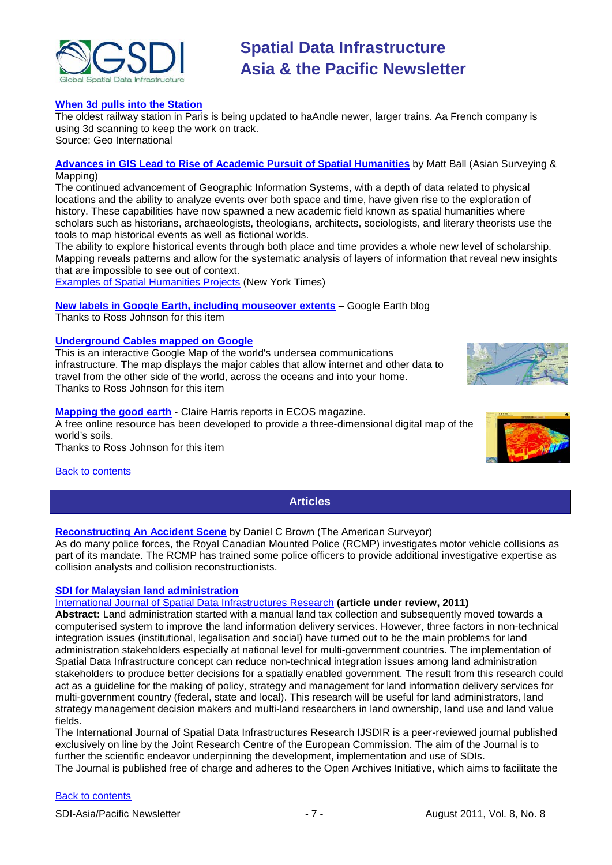

#### **[When 3d pulls into the Station](http://www.geoconnexion.com/uploads/3Dstation_intv10i7.pdf)**

The oldest railway station in Paris is being updated to haAndle newer, larger trains. Aa French company is using 3d scanning to keep the work on track. Source: Geo International

**[Advances in GIS Lead to Rise of Academic Pursuit of Spatial Humanities](http://www.asmmag.com/201107261840/advances-in-gis-lead-to-rise-of-academic-pursuit-of-spatial-humanities.html)** by Matt Ball (Asian Surveying & Mapping)

The continued advancement of Geographic Information Systems, with a depth of data related to physical locations and the ability to analyze events over both space and time, have given rise to the exploration of history. These capabilities have now spawned a new academic field known as spatial humanities where scholars such as historians, archaeologists, theologians, architects, sociologists, and literary theorists use the tools to map historical events as well as fictional worlds.

The ability to explore historical events through both place and time provides a whole new level of scholarship. Mapping reveals patterns and allow for the systematic analysis of layers of information that reveal new insights that are impossible to see out of context.

[Examples of Spatial Humanities Projects](http://www.nytimes.com/interactive/2011/07/27/arts/spatial-maps.html?scp=3&sq=%22spatial%20humanities%22&st=cse) (New York Times)

**[New labels in Google Earth, including mouseover extents](http://www.gearthblog.com/blog/archives/2011/07/new_labels_in_google_earth_includin.html)** – Google Earth blog Thanks to Ross Johnson for this item

**[Underground Cables mapped on](http://googlemapsmania.blogspot.com/2011/07/undersea-cables-on-google-maps.html) Google**

This is an interactive Google Map of the world's undersea communications infrastructure. The map displays the major cables that allow internet and other data to travel from the other side of the world, across the oceans and into your home. Thanks to Ross Johnson for this item

**[Mapping the good earth](http://feedproxy.google.com/~r/sciencealert-latestfeatures/~3/-jt2QV-KERU/20111407-22396.html?utm_source=feedburner&utm_medium=email)** - Claire Harris reports in ECOS magazine.

A free online resource has been developed to provide a three-dimensional digital map of the world's soils.

Thanks to Ross Johnson for this item

<span id="page-6-0"></span>**[Back to contents](#page-0-0)** 



**Articles**

#### **[Reconstructing An Accident Scene](http://www.amerisurv.com/content/view/8869/153/)** by Daniel C Brown (The American Surveyor)

As do many police forces, the Royal Canadian Mounted Police (RCMP) investigates motor vehicle collisions as part of its mandate. The RCMP has trained some police officers to provide additional investigative expertise as collision analysts and collision reconstructionists.

#### **[SDI for Malaysian land administration](http://ijsdir.jrc.ec.europa.eu/index.php/ijsdir/article/view/175/228)**

[International Journal of Spatial Data Infrastructures Research](http://ijsdir.jrc.ec.europa.eu/) **(article under review, 2011)**

**Abstract:** Land administration started with a manual land tax collection and subsequently moved towards a computerised system to improve the land information delivery services. However, three factors in non-technical integration issues (institutional, legalisation and social) have turned out to be the main problems for land administration stakeholders especially at national level for multi-government countries. The implementation of Spatial Data Infrastructure concept can reduce non-technical integration issues among land administration stakeholders to produce better decisions for a spatially enabled government. The result from this research could act as a guideline for the making of policy, strategy and management for land information delivery services for multi-government country (federal, state and local). This research will be useful for land administrators, land strategy management decision makers and multi-land researchers in land ownership, land use and land value fields.

The International Journal of Spatial Data Infrastructures Research IJSDIR is a peer-reviewed journal published exclusively on line by the Joint Research Centre of the European Commission. The aim of the Journal is to further the scientific endeavor underpinning the development, implementation and use of SDIs. The Journal is published free of charge and adheres to the Open Archives Initiative, which aims to facilitate the

#### [Back to contents](#page-0-0)

SDI-Asia/Pacific Newsletter  $-7 -$  - 7 - August 2011, Vol. 8, No. 8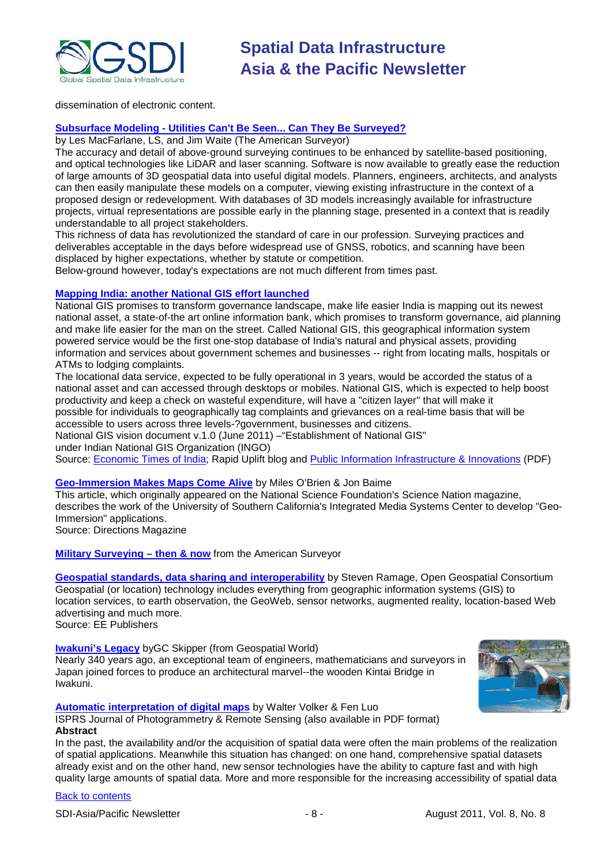

dissemination of electronic content.

#### **Subsurface Modeling - [Utilities Can't Be Seen... Can They Be Surveyed?](http://www.amerisurv.com/content/view/8871/153/)**

by Les MacFarlane, LS, and Jim Waite (The American Surveyor)

The accuracy and detail of above-ground surveying continues to be enhanced by satellite-based positioning, and optical technologies like LiDAR and laser scanning. Software is now available to greatly ease the reduction of large amounts of 3D geospatial data into useful digital models. Planners, engineers, architects, and analysts can then easily manipulate these models on a computer, viewing existing infrastructure in the context of a proposed design or redevelopment. With databases of 3D models increasingly available for infrastructure projects, virtual representations are possible early in the planning stage, presented in a context that is readily understandable to all project stakeholders.

This richness of data has revolutionized the standard of care in our profession. Surveying practices and deliverables acceptable in the days before widespread use of GNSS, robotics, and scanning have been displaced by higher expectations, whether by statute or competition.

Below-ground however, today's expectations are not much different from times past.

#### **Mapping India: [another National GIS effort launched](http://suvratk.blogspot.com/2011/07/mapping-india-another-national-gis.html)**

National GIS promises to transform governance landscape, make life easier India is mapping out its newest national asset, a state-of-the art online information bank, which promises to transform governance, aid planning and make life easier for the man on the street. Called National GIS, this geographical information system powered service would be the first one-stop database of India's natural and physical assets, providing information and services about government schemes and businesses -- right from locating malls, hospitals or ATMs to lodging complaints.

The locational data service, expected to be fully operational in 3 years, would be accorded the status of a national asset and can accessed through desktops or mobiles. National GIS, which is expected to help boost productivity and keep a check on wasteful expenditure, will have a "citizen layer" that will make it possible for individuals to geographically tag complaints and grievances on a real-time basis that will be accessible to users across three levels-?government, businesses and citizens.

National GIS vision document v.1.0 (June 2011) –"Establishment of National GIS" under Indian National GIS Organization (INGO)

Source: [Economic Times of India;](http://articles.economictimes.indiatimes.com/2011-06-30/news/29721790_1_digital-map-core-group-gis-database) Rapid Uplift blog and [Public Information Infrastructure & Innovations](http://www.iii.gov.in/images/stories/innovation/GIS.pdf) (PDF)

#### **[Geo-Immersion Makes Maps Come Alive](http://www.directionsmag.com/articles/geo-immersion-makes-maps-come-alive/188848)** by [Miles O'Brien](http://www.directionsmag.com/authors/miles-obrien/188842) & [Jon Baime](http://www.directionsmag.com/authors/jon-baime/188843)

This article, which originally appeared on the National Science Foundation's Science Nation magazine, describes the work of the University of Southern California's Integrated Media Systems Center to develop "Geo-Immersion" applications.

Source: Directions Magazine

**[Military Surveying –](http://www.amerisurv.com/PDF/TheAmericanSurveyor_Cheves-MilitarySurveying_Vol8No5.pdf) then & now** from the American Surveyor

**[Geospatial standards, data sharing and interoperability](http://eepublishers.co.za/images/upload/PostionIT%202011/gis_july%202011_%20data-sharing-1.pdf)** by Steven Ramage, Open Geospatial Consortium Geospatial (or location) technology includes everything from geographic information systems (GIS) to location services, to earth observation, the GeoWeb, sensor networks, augmented reality, location-based Web advertising and much more.

Source: EE Publishers

**Iwakuni's Legacy** byGC Skipper (from Geospatial World)

Nearly 340 years ago, an exceptional team of engineers, mathematicians and surveyors in Japan joined forces to produce an architectural marvel--the wooden Kintai Bridge in Iwakuni.



**[Automatic interpretation of digital maps](http://www.sciencedirect.com/science/article/pii/S0924271611000426)** by Walter Volker & Fen Luo ISPRS Journal of Photogrammetry & Remote Sensing (also available in PDF format)

**Abstract**

In the past, the availability and/or the acquisition of spatial data were often the main problems of the realization of spatial applications. Meanwhile this situation has changed: on one hand, comprehensive spatial datasets already exist and on the other hand, new sensor technologies have the ability to capture fast and with high quality large amounts of spatial data. More and more responsible for the increasing accessibility of spatial data

#### [Back to contents](#page-0-0)

SDI-Asia/Pacific Newsletter  $-8 -$  - 8 - August 2011, Vol. 8, No. 8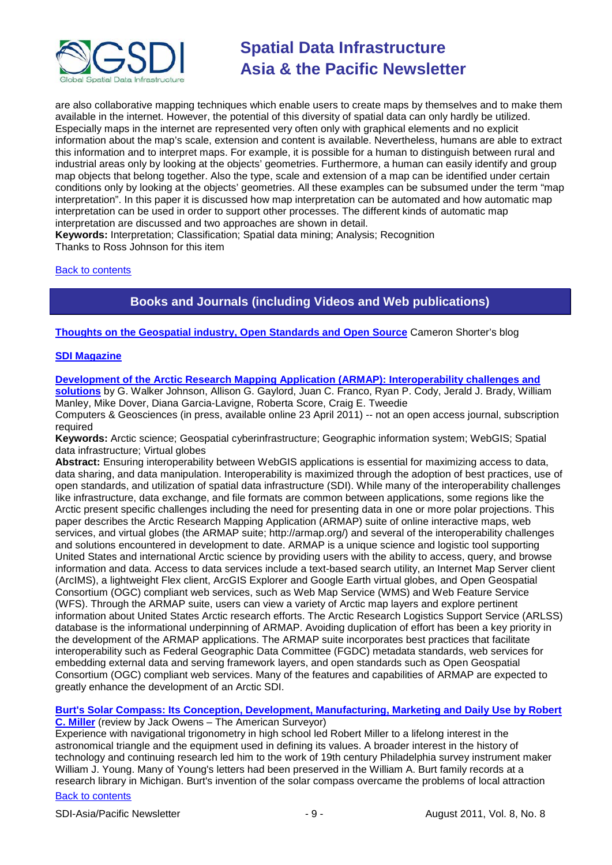

are also collaborative mapping techniques which enable users to create maps by themselves and to make them available in the internet. However, the potential of this diversity of spatial data can only hardly be utilized. Especially maps in the internet are represented very often only with graphical elements and no explicit information about the map's scale, extension and content is available. Nevertheless, humans are able to extract this information and to interpret maps. For example, it is possible for a human to distinguish between rural and industrial areas only by looking at the objects' geometries. Furthermore, a human can easily identify and group map objects that belong together. Also the type, scale and extension of a map can be identified under certain conditions only by looking at the objects' geometries. All these examples can be subsumed under the term "map interpretation". In this paper it is discussed how map interpretation can be automated and how automatic map interpretation can be used in order to support other processes. The different kinds of automatic map interpretation are discussed and two approaches are shown in detail.

**Keywords:** Interpretation; Classification; Spatial data mining; Analysis; Recognition Thanks to Ross Johnson for this item

#### <span id="page-8-0"></span>[Back to contents](#page-0-0)

## **Books and Journals (including Videos and Web publications)**

#### **[Thoughts on the Geospatial industry, Open Standards and Open Source](http://cameronshorter.blogspot.com/2011/06/memoirs-of-cat-herder-coordinating.html)** Cameron Shorter's blog

#### **[SDI Magazine](http://www.sdimag.com/)**

#### **[Development of the Arctic Research Mapping Application \(ARMAP\): Interoperability challenges and](http://www.sciencedirect.com/science/article/pii/S0098300411001361)**

**[solutions](http://www.sciencedirect.com/science/article/pii/S0098300411001361)** by G. Walker Johnson, Allison G. Gaylord, Juan C. Franco, Ryan P. Cody, Jerald J. Brady, William Manley, Mike Dover, Diana Garcia-Lavigne, Roberta Score, Craig E. Tweedie

Computers & Geosciences (in press, available online 23 April 2011) -- not an open access journal, subscription required

**Keywords:** Arctic science; Geospatial cyberinfrastructure; Geographic information system; WebGIS; Spatial data infrastructure; Virtual globes

**Abstract:** Ensuring interoperability between WebGIS applications is essential for maximizing access to data, data sharing, and data manipulation. Interoperability is maximized through the adoption of best practices, use of open standards, and utilization of spatial data infrastructure (SDI). While many of the interoperability challenges like infrastructure, data exchange, and file formats are common between applications, some regions like the Arctic present specific challenges including the need for presenting data in one or more polar projections. This paper describes the Arctic Research Mapping Application (ARMAP) suite of online interactive maps, web services, and virtual globes (the ARMAP suite; http://armap.org/) and several of the interoperability challenges and solutions encountered in development to date. ARMAP is a unique science and logistic tool supporting United States and international Arctic science by providing users with the ability to access, query, and browse information and data. Access to data services include a text-based search utility, an Internet Map Server client (ArcIMS), a lightweight Flex client, ArcGIS Explorer and Google Earth virtual globes, and Open Geospatial Consortium (OGC) compliant web services, such as Web Map Service (WMS) and Web Feature Service (WFS). Through the ARMAP suite, users can view a variety of Arctic map layers and explore pertinent information about United States Arctic research efforts. The Arctic Research Logistics Support Service (ARLSS) database is the informational underpinning of ARMAP. Avoiding duplication of effort has been a key priority in the development of the ARMAP applications. The ARMAP suite incorporates best practices that facilitate interoperability such as Federal Geographic Data Committee (FGDC) metadata standards, web services for embedding external data and serving framework layers, and open standards such as Open Geospatial Consortium (OGC) compliant web services. Many of the features and capabilities of ARMAP are expected to greatly enhance the development of an Arctic SDI.

#### **Burt's Solar Compass: Its Conception, Development, Manufacturing, Marketing and Daily Use by Robert C. Miller** (review by Jack Owens – The American Surveyor)

Experience with navigational trigonometry in high school led Robert Miller to a lifelong interest in the astronomical triangle and the equipment used in defining its values. A broader interest in the history of technology and continuing research led him to the work of 19th century Philadelphia survey instrument maker William J. Young. Many of Young's letters had been preserved in the William A. Burt family records at a research library in Michigan. Burt's invention of the solar compass overcame the problems of local attraction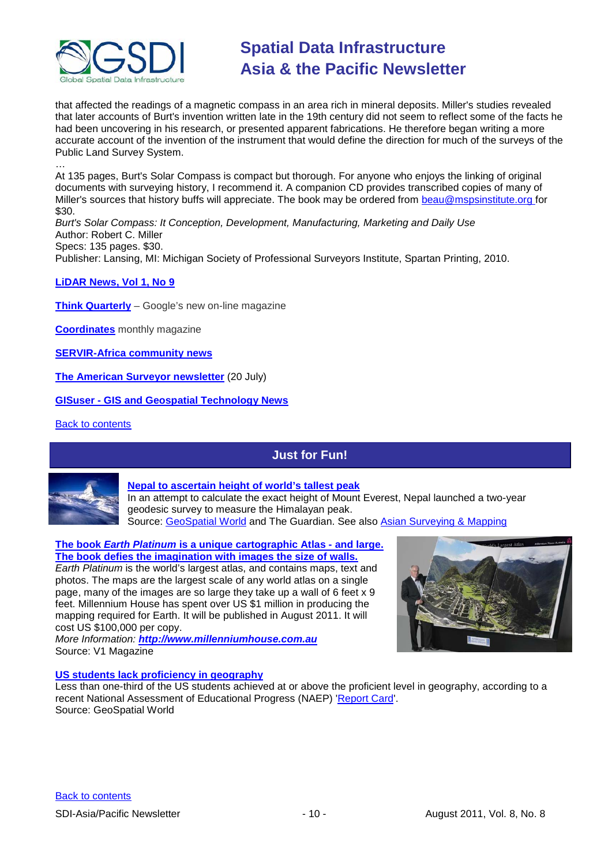

that affected the readings of a magnetic compass in an area rich in mineral deposits. Miller's studies revealed that later accounts of Burt's invention written late in the 19th century did not seem to reflect some of the facts he had been uncovering in his research, or presented apparent fabrications. He therefore began writing a more accurate account of the invention of the instrument that would define the direction for much of the surveys of the Public Land Survey System.

… At 135 pages, Burt's Solar Compass is compact but thorough. For anyone who enjoys the linking of original documents with surveying history, I recommend it. A companion CD provides transcribed copies of many of Miller's sources that history buffs will appreciate. The book may be ordered from [beau@mspsinstitute.org](mailto:beau@mspsinstitute.org) for \$30.

*Burt's Solar Compass: It Conception, Development, Manufacturing, Marketing and Daily Use* Author: Robert C. Miller Specs: 135 pages. \$30.

Publisher: Lansing, MI: Michigan Society of Professional Surveyors Institute, Spartan Printing, 2010.

#### **[LiDAR News, Vol 1, No 9](http://www.lidarnews.com/newsletter/Vol1No9.htm)**

**[Think Quarterly](http://thinkquarterly.co.uk/#aboutthebook)** – Google's new on-line magazine

**[Coordinates](http://mycoordinates.org/pdf/june11.pdf)** monthly magazine

**[SERVIR-Africa community news](http://www.servirglobal.net/africa/en/News/CommunityNews.aspx)**

**[The American Surveyor newsletter](http://www.amerisurv.com/newsletter/20JUL2011.htm)** (20 July)

**GISuser - [GIS and Geospatial Technology News](http://www.gisuser.com/)**

<span id="page-9-0"></span>[Back to contents](#page-0-0)

## **Just for Fun!**



#### **[Nepal to ascertain height of world's tallest peak](http://www.guardian.co.uk/world/2011/jul/20/nepal-survey-mount-everest-height)**

In an attempt to calculate the exact height of Mount Everest, Nepal launched a two-year geodesic survey to measure the Himalayan peak. Source: [GeoSpatial World](http://www.geospatialworld.net/index.php?option=com_content&view=article&id=22701:nepal-to-ascertain-height-of-worlds-tallest-peak&catid=66&Itemid=1) and The Guardian. See also [Asian Surveying & Mapping](http://www.asmmag.com/201107201808/how-high-is-mount-everest-nepal-survey-aims-to-answer-huge-question.html)

#### **The book** *Earth Platinum* **[is a unique cartographic Atlas -](http://www.vector1media.com/dialog/interviews/21256-cartography-of-earth-platinum-worlds-largest-atlas.html) and large. [The book defies the imagination with images the size of walls.](http://www.vector1media.com/dialog/interviews/21256-cartography-of-earth-platinum-worlds-largest-atlas.html)**

*Earth Platinum* is the world's largest atlas, and contains maps, text and photos. The maps are the largest scale of any world atlas on a single page, many of the images are so large they take up a wall of 6 feet x 9 feet. Millennium House has spent over US \$1 million in producing the mapping required for Earth. It will be published in August 2011. It will cost US \$100,000 per copy.

*More Information: [http://www.millenniumhouse.com.au](http://www.millenniumhouse.com.au/)* Source: V1 Magazine



#### **[US students lack proficiency in geography](http://www.geospatialworld.net/index.php?option=com_content&view=article&id=22703:us-students-lack-proficiency-in-geography&catid=77&Itemid=1)**

Less than one-third of the US students achieved at or above the proficient level in geography, according to a recent National Assessment of Educational Progress (NAEP) ['Report Card'.](http://nces.ed.gov/nationsreportcard/pdf/main2010/2011467.pdf) Source: GeoSpatial World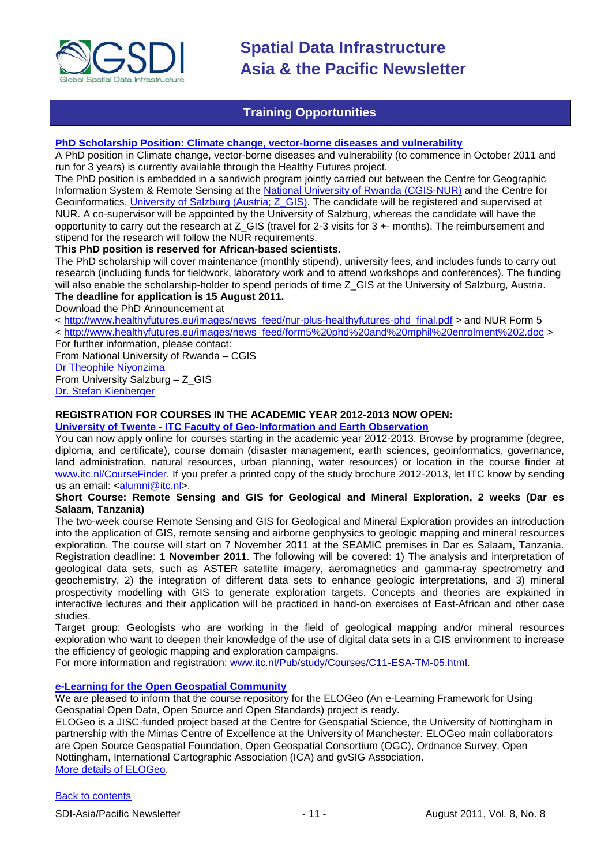

### **Training Opportunities**

#### <span id="page-10-0"></span>**[PhD Scholarship Position: Climate change, vector-borne diseases and vulnerability](http://www.healthyfutures.eu/index.php?option=com_k2&view=item&id=123:phd-position-announced)**

A PhD position in Climate change, vector-borne diseases and vulnerability (to commence in October 2011 and run for 3 years) is currently available through the Healthy Futures project.

The PhD position is embedded in a sandwich program jointly carried out between the Centre for Geographic Information System & Remote Sensing at the [National University of Rwanda \(CGIS-NUR\)](http://www.cgisnur.org/) and the Centre for Geoinformatics, *University of Salzburg (Austria; Z\_GIS)*. The candidate will be registered and supervised at NUR. A co-supervisor will be appointed by the University of Salzburg, whereas the candidate will have the opportunity to carry out the research at Z\_GIS (travel for 2-3 visits for 3 +- months). The reimbursement and stipend for the research will follow the NUR requirements.

#### **This PhD position is reserved for African-based scientists.**

The PhD scholarship will cover maintenance (monthly stipend), university fees, and includes funds to carry out research (including funds for fieldwork, laboratory work and to attend workshops and conferences). The funding will also enable the scholarship-holder to spend periods of time Z\_GIS at the University of Salzburg, Austria. **The deadline for application is 15 August 2011.**

Download the PhD Announcement at

< [http://www.healthyfutures.eu/images/news\\_feed/nur-plus-healthyfutures-phd\\_final.pdf](http://www.healthyfutures.eu/images/news_feed/nur-plus-healthyfutures-phd_final.pdf) > and NUR Form 5

< [http://www.healthyfutures.eu/images/news\\_feed/form5%20phd%20and%20mphil%20enrolment%202.doc](http://www.healthyfutures.eu/images/news_feed/form5%20phd%20and%20mphil%20enrolment%202.doc) >

For further information, please contact: From National University of Rwanda – CGIS [Dr Theophile Niyonzima](mailto:tniyonzima@nur.ac.rw)

From University Salzburg - Z\_GIS [Dr. Stefan Kienberger](mailto:stefan.kienberger@sbg.ac.at)

#### **REGISTRATION FOR COURSES IN THE ACADEMIC YEAR 2012-2013 NOW OPEN:**

#### **University of Twente - ITC Faculty of Geo-Information and Earth Observation**

You can now apply online for courses starting in the academic year 2012-2013. Browse by programme (degree, diploma, and certificate), course domain (disaster management, earth sciences, geoinformatics, governance, land administration, natural resources, urban planning, water resources) or location in the course finder at [www.itc.nl/CourseFinder.](http://www.itc.nl/CourseFinder) If you prefer a printed copy of the study brochure 2012-2013, let ITC know by sending us an email:  $\leq$ alumni@itc.nl>.

#### **Short Course: Remote Sensing and GIS for Geological and Mineral Exploration, 2 weeks (Dar es Salaam, Tanzania)**

The two-week course Remote Sensing and GIS for Geological and Mineral Exploration provides an introduction into the application of GIS, remote sensing and airborne geophysics to geologic mapping and mineral resources exploration. The course will start on 7 November 2011 at the SEAMIC premises in Dar es Salaam, Tanzania. Registration deadline: **1 November 2011**. The following will be covered: 1) The analysis and interpretation of geological data sets, such as ASTER satellite imagery, aeromagnetics and gamma-ray spectrometry and geochemistry, 2) the integration of different data sets to enhance geologic interpretations, and 3) mineral prospectivity modelling with GIS to generate exploration targets. Concepts and theories are explained in interactive lectures and their application will be practiced in hand-on exercises of East-African and other case studies.

Target group: Geologists who are working in the field of geological mapping and/or mineral resources exploration who want to deepen their knowledge of the use of digital data sets in a GIS environment to increase the efficiency of geologic mapping and exploration campaigns.

For more information and registration: [www.itc.nl/Pub/study/Courses/C11-ESA-TM-05.html.](http://www.itc.nl/Pub/study/Courses/C11-ESA-TM-05.html)

#### **[e-Learning for the Open Geospatial Community](http://elogeo.nottingham.ac.uk/xmlui)**

We are pleased to inform that the course repository for the ELOGeo (An e-Learning Framework for Using Geospatial Open Data, Open Source and Open Standards) project is ready.

ELOGeo is a JISC-funded project based at the Centre for Geospatial Science, the University of Nottingham in partnership with the Mimas Centre of Excellence at the University of Manchester. ELOGeo main collaborators are Open Source Geospatial Foundation, Open Geospatial Consortium (OGC), Ordnance Survey, Open Nottingham, International Cartographic Association (ICA) and gvSIG Association. [More details of ELOGeo.](http://elogeo.nottingham.ac.uk/index.html)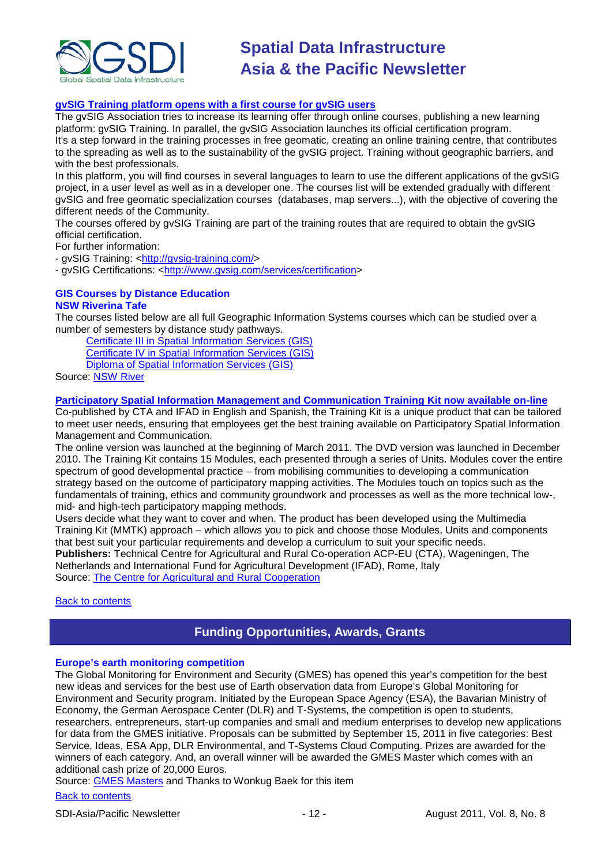

#### **gvSIG Training platform opens with a first course for gvSIG users**

The gvSIG Association tries to increase its learning offer through online courses, publishing a new learning platform: gvSIG Training. In parallel, the gvSIG Association launches its official certification program. It's a step forward in the training processes in free geomatic, creating an online training centre, that contributes to the spreading as well as to the sustainability of the gvSIG project. Training without geographic barriers, and with the best professionals.

In this platform, you will find courses in several languages to learn to use the different applications of the gvSIG project, in a user level as well as in a developer one. The courses list will be extended gradually with different gvSIG and free geomatic specialization courses (databases, map servers...), with the objective of covering the different needs of the Community.

The courses offered by gvSIG Training are part of the training routes that are required to obtain the gvSIG official certification.

For further information:

- gvSIG Training: [<http://gvsig-training.com/>](http://gvsig-training.com/)

- gvSIG Certifications: [<http://www.gvsig.com/services/certification>](http://www.gvsig.com/services/certification)

#### **GIS Courses by Distance Education NSW Riverina Tafe**

The courses listed below are all full Geographic Information Systems courses which can be studied over a number of semesters by distance study pathways.

[Certificate III in Spatial Information Services \(GIS\)](http://www.rit.tafensw.edu.au/nec/nrme/giscourses#Cert III in Spatial Information Services (CPP30109))

[Certificate IV in Spatial Information Services \(GIS\)](http://www.rit.tafensw.edu.au/nec/nrme/giscourses#Cert IV in Spatial Information Services (CPP40209))

[Diploma of Spatial Information Services \(GIS\)](http://www.rit.tafensw.edu.au/nec/nrme/giscourses#Diploma of Spatial Information Services (CPP50207))

Sourc[e: NSW River](http://www.rit.tafensw.edu.au/nec/nrme/giscourses)

#### **[Participatory Spatial Information Management and Communication Training Kit now available on-line](http://www.cta.int/en/About-us/CTA-news/Participatory-Spatial-Information-Management-and-Communication-Training-Kit-now-available-on-line)**

Co-published by CTA and IFAD in English and Spanish, the Training Kit is a unique product that can be tailored to meet user needs, ensuring that employees get the best training available on Participatory Spatial Information Management and Communication.

The [online version](http://pgis-tk.cta.int/) was launched at the beginning of March 2011. The DVD version was launched in December 2010. The Training Kit contains 15 Modules, each presented through a series of Units. Modules cover the entire spectrum of good developmental practice – from mobilising communities to developing a communication strategy based on the outcome of participatory mapping activities. The Modules touch on topics such as the fundamentals of training, ethics and community groundwork and processes as well as the more technical low-, mid- and high-tech participatory mapping methods.

Users decide what they want to cover and when. The product has been developed using the Multimedia Training Kit (MMTK) approach – which allows you to pick and choose those Modules, Units and components that best suit your particular requirements and develop a curriculum to suit your specific needs. **Publishers:** Technical Centre for Agricultural and Rural Co-operation ACP-EU (CTA), Wageningen, The Netherlands and International Fund for Agricultural Development (IFAD), Rome, Italy Source: [The Centre for Agricultural and Rural Cooperation](http://www.cta.int/en/About-us/Who-we-are)

#### <span id="page-11-0"></span>**[Back to contents](#page-0-0)**

### **Funding Opportunities, Awards, Grants**

#### **Europe's earth monitoring competition**

The Global Monitoring for Environment and Security (GMES) has opened this year's competition for the best new ideas and services for the best use of Earth observation data from Europe's Global Monitoring for Environment and Security program. Initiated by the European Space Agency (ESA), the Bavarian Ministry of Economy, the German Aerospace Center (DLR) and T-Systems, the competition is open to students, researchers, entrepreneurs, start-up companies and small and medium enterprises to develop new applications for data from the GMES initiative. Proposals can be submitted by September 15, 2011 in five categories: Best Service, Ideas, ESA App, DLR Environmental, and T-Systems Cloud Computing. Prizes are awarded for the winners of each category. And, an overall winner will be awarded the GMES Master which comes with an additional cash prize of 20,000 Euros.

Source: [GMES Masters](http://www.gmes-masters.com/competition) and Thanks to Wonkug Baek for this item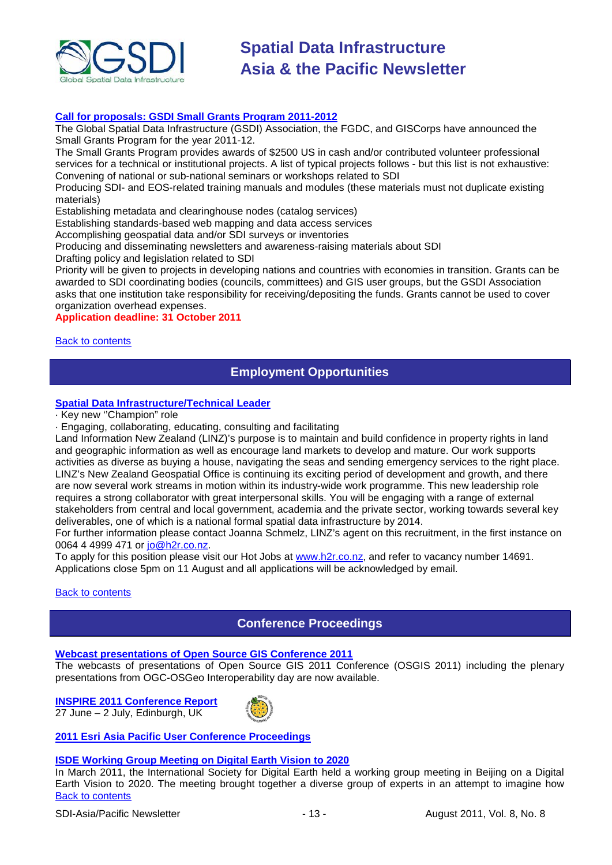

#### <span id="page-12-0"></span>**[Call for proposals: GSDI Small Grants Program 2011-2012](http://www.gsdi.org/node/315)**

The Global Spatial Data Infrastructure (GSDI) Association, the FGDC, and GISCorps have announced the Small Grants Program for the year 2011-12.

The Small Grants Program provides awards of \$2500 US in cash and/or contributed volunteer professional services for a technical or institutional projects. A list of typical projects follows - but this list is not exhaustive: Convening of national or sub-national seminars or workshops related to SDI

Producing SDI- and EOS-related training manuals and modules (these materials must not duplicate existing materials)

Establishing metadata and clearinghouse nodes (catalog services)

Establishing standards-based web mapping and data access services

Accomplishing geospatial data and/or SDI surveys or inventories

Producing and disseminating newsletters and awareness-raising materials about SDI

Drafting policy and legislation related to SDI

Priority will be given to projects in developing nations and countries with economies in transition. Grants can be awarded to SDI coordinating bodies (councils, committees) and GIS user groups, but the GSDI Association asks that one institution take responsibility for receiving/depositing the funds. Grants cannot be used to cover organization overhead expenses.

#### **Application deadline: 31 October 2011**

**[Back to contents](#page-0-0)** 

## **Employment Opportunities**

### **[Spatial Data Infrastructure/Technical Leader](http://www.spatialjobs.com.au/view_job.php?jobs_id=2108)**

· Key new ''Champion" role

· Engaging, collaborating, educating, consulting and facilitating

Land Information New Zealand (LINZ)'s purpose is to maintain and build confidence in property rights in land and geographic information as well as encourage land markets to develop and mature. Our work supports activities as diverse as buying a house, navigating the seas and sending emergency services to the right place. LINZ's New Zealand Geospatial Office is continuing its exciting period of development and growth, and there are now several work streams in motion within its industry-wide work programme. This new leadership role requires a strong collaborator with great interpersonal skills. You will be engaging with a range of external stakeholders from central and local government, academia and the private sector, working towards several key deliverables, one of which is a national formal spatial data infrastructure by 2014.

For further information please contact Joanna Schmelz, LINZ's agent on this recruitment, in the first instance on 0064 4 4999 471 or [jo@h2r.co.nz.](mailto:jo@h2r.co.nz)

To apply for this position please visit our Hot Jobs at [www.h2r.co.nz,](http://www.h2r.co.nz/) and refer to vacancy number 14691. Applications close 5pm on 11 August and all applications will be acknowledged by email.

#### <span id="page-12-1"></span>[Back to contents](#page-0-0)

### **Conference Proceedings**

#### **[Webcast presentations of Open Source GIS Conference 2011](http://cgs.nottingham.ac.uk/~osgis11/os_call_info.html)**

The webcasts of presentations of Open Source GIS 2011 Conference (OSGIS 2011) including the plenary presentations from OGC-OSGeo Interoperability day are now available.

**[INSPIRE 2011 Conference Report](http://www.sdimag.com/20110708150/events/event-coverage/inspire-2011-conference-report.html)** 27 June – 2 July, Edinburgh, UK



### **[2011 Esri Asia Pacific User Conference Proceedings](http://www.geodata.com.ph/index.php?option=com_content&view=article&id=226:2011-apuc-proceedings&catid=45:new-a-events)**

#### **[ISDE Working Group Meeting on Digital Earth Vision to 2020](http://www.digitalearth-isde.org/news/Digital%20Earth%20Vision%20to%202020.html)**

[Back to contents](#page-0-0) In March 2011, the International Society for Digital Earth held a working group meeting in Beijing on a Digital Earth Vision to 2020. The meeting brought together a diverse group of experts in an attempt to imagine how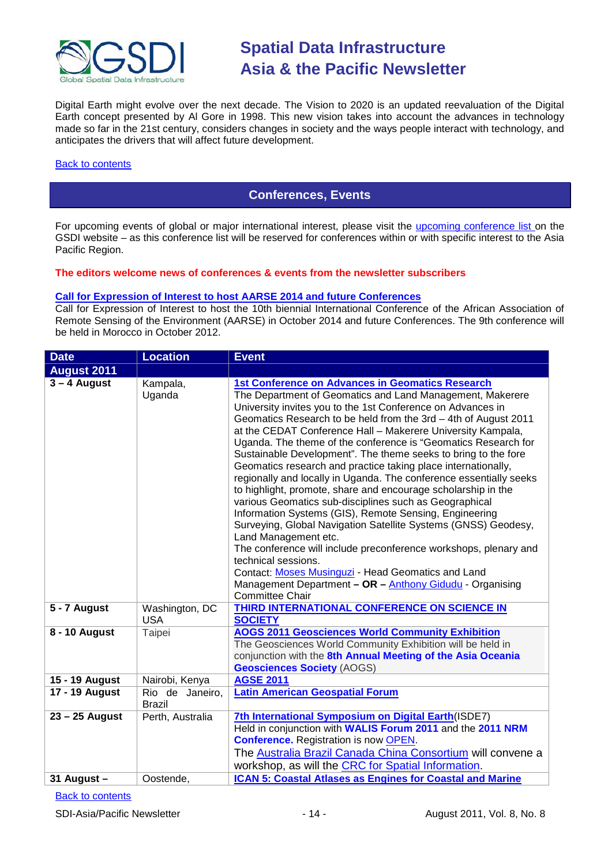

Digital Earth might evolve over the next decade. The Vision to 2020 is an updated reevaluation of the Digital Earth concept presented by Al Gore in 1998. This new vision takes into account the advances in technology made so far in the 21st century, considers changes in society and the ways people interact with technology, and anticipates the drivers that will affect future development.

#### <span id="page-13-0"></span>[Back to contents](#page-0-0)

### **Conferences, Events**

For upcoming events of global or major international interest, please visit the [upcoming conference list o](http://gsdi.org/events/upcnf.asp)n the GSDI website – as this conference list will be reserved for conferences within or with specific interest to the Asia Pacific Region.

#### **The editors welcome news of conferences & events from the newsletter subscribers**

#### **[Call for Expression of Interest to host AARSE 2014 and future Conferences](http://lists.gsdi.org/pipermail/sdi-africa/2010-November/001135.html)**

Call for Expression of Interest to host the 10th biennial International Conference of the African Association of Remote Sensing of the Environment (AARSE) in October 2014 and future Conferences. The 9th conference will be held in Morocco in October 2012.

| <b>Date</b>                     | <b>Location</b>                  | <b>Event</b>                                                                                                                                                                                                                                                                                                                                                                                                                                                                                                                                                                                                                                                                                                                                                                                                                                                                                                                                                                                                                                                                                                           |
|---------------------------------|----------------------------------|------------------------------------------------------------------------------------------------------------------------------------------------------------------------------------------------------------------------------------------------------------------------------------------------------------------------------------------------------------------------------------------------------------------------------------------------------------------------------------------------------------------------------------------------------------------------------------------------------------------------------------------------------------------------------------------------------------------------------------------------------------------------------------------------------------------------------------------------------------------------------------------------------------------------------------------------------------------------------------------------------------------------------------------------------------------------------------------------------------------------|
| <b>August 2011</b>              |                                  |                                                                                                                                                                                                                                                                                                                                                                                                                                                                                                                                                                                                                                                                                                                                                                                                                                                                                                                                                                                                                                                                                                                        |
| $3 - 4$ August                  | Kampala,<br>Uganda               | <b>1st Conference on Advances in Geomatics Research</b><br>The Department of Geomatics and Land Management, Makerere<br>University invites you to the 1st Conference on Advances in<br>Geomatics Research to be held from the 3rd - 4th of August 2011<br>at the CEDAT Conference Hall - Makerere University Kampala,<br>Uganda. The theme of the conference is "Geomatics Research for<br>Sustainable Development". The theme seeks to bring to the fore<br>Geomatics research and practice taking place internationally,<br>regionally and locally in Uganda. The conference essentially seeks<br>to highlight, promote, share and encourage scholarship in the<br>various Geomatics sub-disciplines such as Geographical<br>Information Systems (GIS), Remote Sensing, Engineering<br>Surveying, Global Navigation Satellite Systems (GNSS) Geodesy,<br>Land Management etc.<br>The conference will include preconference workshops, plenary and<br>technical sessions.<br>Contact: Moses Musinguzi - Head Geomatics and Land<br>Management Department - OR - Anthony Gidudu - Organising<br><b>Committee Chair</b> |
| 5 - 7 August                    | Washington, DC<br><b>USA</b>     | <b>THIRD INTERNATIONAL CONFERENCE ON SCIENCE IN</b><br><b>SOCIETY</b>                                                                                                                                                                                                                                                                                                                                                                                                                                                                                                                                                                                                                                                                                                                                                                                                                                                                                                                                                                                                                                                  |
| 8 - 10 August                   | Taipei                           | <b>AOGS 2011 Geosciences World Community Exhibition</b><br>The Geosciences World Community Exhibition will be held in<br>conjunction with the 8th Annual Meeting of the Asia Oceania<br><b>Geosciences Society (AOGS)</b>                                                                                                                                                                                                                                                                                                                                                                                                                                                                                                                                                                                                                                                                                                                                                                                                                                                                                              |
| 15 - 19 August                  | Nairobi, Kenya                   | <b>AGSE 2011</b>                                                                                                                                                                                                                                                                                                                                                                                                                                                                                                                                                                                                                                                                                                                                                                                                                                                                                                                                                                                                                                                                                                       |
| <b>17 - 19 August</b>           | Rio de Janeiro,<br><b>Brazil</b> | <b>Latin American Geospatial Forum</b>                                                                                                                                                                                                                                                                                                                                                                                                                                                                                                                                                                                                                                                                                                                                                                                                                                                                                                                                                                                                                                                                                 |
| $23 - 25$ August<br>31 August - | Perth, Australia<br>Oostende,    | 7th International Symposium on Digital Earth (ISDE7)<br>Held in conjunction with WALIS Forum 2011 and the 2011 NRM<br><b>Conference.</b> Registration is now <b>OPEN</b> .<br>The Australia Brazil Canada China Consortium will convene a<br>workshop, as will the CRC for Spatial Information.<br><b>ICAN 5: Coastal Atlases as Engines for Coastal and Marine</b>                                                                                                                                                                                                                                                                                                                                                                                                                                                                                                                                                                                                                                                                                                                                                    |
|                                 |                                  |                                                                                                                                                                                                                                                                                                                                                                                                                                                                                                                                                                                                                                                                                                                                                                                                                                                                                                                                                                                                                                                                                                                        |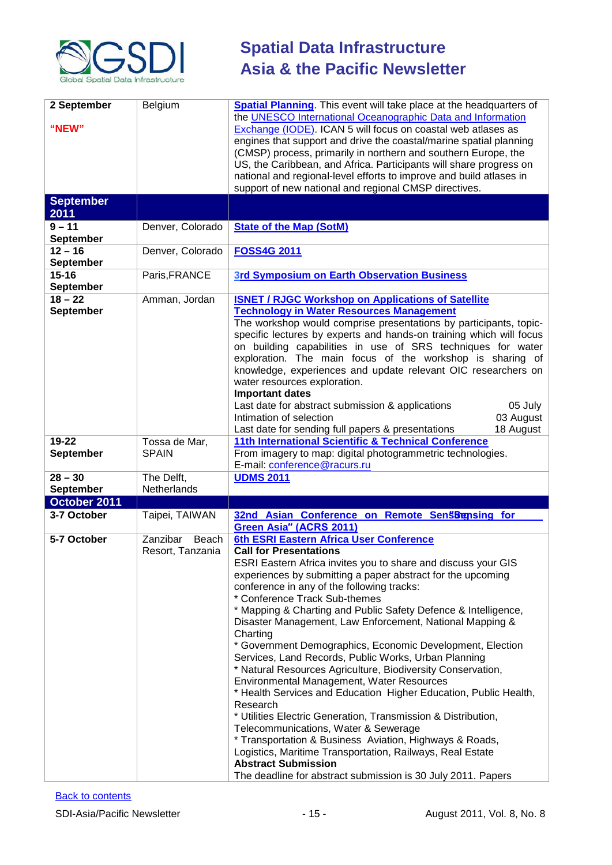

| 2 September<br>"NEW"          | Belgium                               | <b>Spatial Planning</b> . This event will take place at the headquarters of<br>the UNESCO International Oceanographic Data and Information<br>Exchange (IODE). ICAN 5 will focus on coastal web atlases as<br>engines that support and drive the coastal/marine spatial planning<br>(CMSP) process, primarily in northern and southern Europe, the<br>US, the Caribbean, and Africa. Participants will share progress on<br>national and regional-level efforts to improve and build atlases in<br>support of new national and regional CMSP directives.                                                                                                                                                                                                                                                                                                                                                                                                                                                                                                                          |
|-------------------------------|---------------------------------------|-----------------------------------------------------------------------------------------------------------------------------------------------------------------------------------------------------------------------------------------------------------------------------------------------------------------------------------------------------------------------------------------------------------------------------------------------------------------------------------------------------------------------------------------------------------------------------------------------------------------------------------------------------------------------------------------------------------------------------------------------------------------------------------------------------------------------------------------------------------------------------------------------------------------------------------------------------------------------------------------------------------------------------------------------------------------------------------|
| <b>September</b><br>2011      |                                       |                                                                                                                                                                                                                                                                                                                                                                                                                                                                                                                                                                                                                                                                                                                                                                                                                                                                                                                                                                                                                                                                                   |
| $9 - 11$<br><b>September</b>  | Denver, Colorado                      | <b>State of the Map (SotM)</b>                                                                                                                                                                                                                                                                                                                                                                                                                                                                                                                                                                                                                                                                                                                                                                                                                                                                                                                                                                                                                                                    |
| $12 - 16$<br><b>September</b> | Denver, Colorado                      | <b>FOSS4G 2011</b>                                                                                                                                                                                                                                                                                                                                                                                                                                                                                                                                                                                                                                                                                                                                                                                                                                                                                                                                                                                                                                                                |
| $15 - 16$<br><b>September</b> | Paris, FRANCE                         | <b>3rd Symposium on Earth Observation Business</b>                                                                                                                                                                                                                                                                                                                                                                                                                                                                                                                                                                                                                                                                                                                                                                                                                                                                                                                                                                                                                                |
| $18 - 22$<br><b>September</b> | Amman, Jordan                         | <b>ISNET / RJGC Workshop on Applications of Satellite</b><br><b>Technology in Water Resources Management</b><br>The workshop would comprise presentations by participants, topic-<br>specific lectures by experts and hands-on training which will focus<br>on building capabilities in use of SRS techniques for water<br>exploration. The main focus of the workshop is sharing of<br>knowledge, experiences and update relevant OIC researchers on<br>water resources exploration.<br><b>Important dates</b><br>Last date for abstract submission & applications<br>05 July<br>03 August<br>Intimation of selection<br>18 August<br>Last date for sending full papers & presentations                                                                                                                                                                                                                                                                                                                                                                                          |
| 19-22<br><b>September</b>     | Tossa de Mar,<br><b>SPAIN</b>         | 11th International Scientific & Technical Conference<br>From imagery to map: digital photogrammetric technologies.<br>E-mail: conference@racurs.ru                                                                                                                                                                                                                                                                                                                                                                                                                                                                                                                                                                                                                                                                                                                                                                                                                                                                                                                                |
| $28 - 30$<br>September        | The Delft,<br>Netherlands             | <b>UDMS 2011</b>                                                                                                                                                                                                                                                                                                                                                                                                                                                                                                                                                                                                                                                                                                                                                                                                                                                                                                                                                                                                                                                                  |
| October 2011                  |                                       |                                                                                                                                                                                                                                                                                                                                                                                                                                                                                                                                                                                                                                                                                                                                                                                                                                                                                                                                                                                                                                                                                   |
| 3-7 October                   | Taipei, TAIWAN                        | 32nd Asian Conference on Remote SensBegnsing for<br><b>Green Asia" (ACRS 2011)</b>                                                                                                                                                                                                                                                                                                                                                                                                                                                                                                                                                                                                                                                                                                                                                                                                                                                                                                                                                                                                |
| 5-7 October                   | Zanzibar<br>Beach<br>Resort, Tanzania | 6th ESRI Eastern Africa User Conference<br><b>Call for Presentations</b><br>ESRI Eastern Africa invites you to share and discuss your GIS<br>experiences by submitting a paper abstract for the upcoming<br>conference in any of the following tracks:<br>* Conference Track Sub-themes<br>* Mapping & Charting and Public Safety Defence & Intelligence,<br>Disaster Management, Law Enforcement, National Mapping &<br>Charting<br>* Government Demographics, Economic Development, Election<br>Services, Land Records, Public Works, Urban Planning<br>* Natural Resources Agriculture, Biodiversity Conservation,<br>Environmental Management, Water Resources<br>* Health Services and Education Higher Education, Public Health,<br>Research<br>* Utilities Electric Generation, Transmission & Distribution,<br>Telecommunications, Water & Sewerage<br>* Transportation & Business Aviation, Highways & Roads,<br>Logistics, Maritime Transportation, Railways, Real Estate<br><b>Abstract Submission</b><br>The deadline for abstract submission is 30 July 2011. Papers |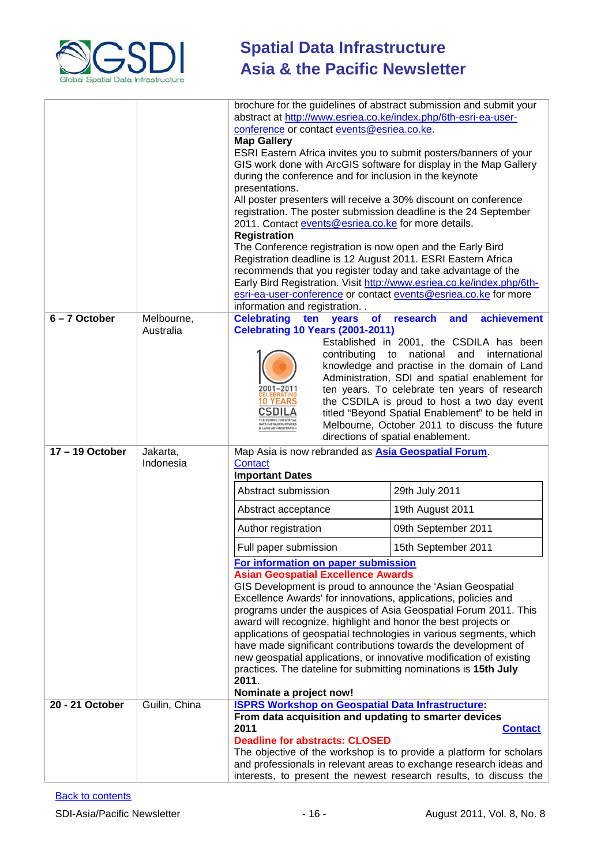

|                 |                         | brochure for the guidelines of abstract submission and submit your<br>abstract at http://www.esriea.co.ke/index.php/6th-esri-ea-user-<br>conference or contact events@esriea.co.ke.<br><b>Map Gallery</b><br>ESRI Eastern Africa invites you to submit posters/banners of your<br>GIS work done with ArcGIS software for display in the Map Gallery<br>during the conference and for inclusion in the keynote<br>presentations.<br>All poster presenters will receive a 30% discount on conference<br>registration. The poster submission deadline is the 24 September<br>2011. Contact events@esriea.co.ke for more details.<br><b>Registration</b><br>The Conference registration is now open and the Early Bird<br>Registration deadline is 12 August 2011. ESRI Eastern Africa<br>recommends that you register today and take advantage of the<br>Early Bird Registration. Visit http://www.esriea.co.ke/index.php/6th-<br>esri-ea-user-conference or contact events@esriea.co.ke for more |                                                                                                                                                                                                                                                                                                                                                                                                                                                                  |
|-----------------|-------------------------|------------------------------------------------------------------------------------------------------------------------------------------------------------------------------------------------------------------------------------------------------------------------------------------------------------------------------------------------------------------------------------------------------------------------------------------------------------------------------------------------------------------------------------------------------------------------------------------------------------------------------------------------------------------------------------------------------------------------------------------------------------------------------------------------------------------------------------------------------------------------------------------------------------------------------------------------------------------------------------------------|------------------------------------------------------------------------------------------------------------------------------------------------------------------------------------------------------------------------------------------------------------------------------------------------------------------------------------------------------------------------------------------------------------------------------------------------------------------|
|                 |                         | information and registration                                                                                                                                                                                                                                                                                                                                                                                                                                                                                                                                                                                                                                                                                                                                                                                                                                                                                                                                                                   |                                                                                                                                                                                                                                                                                                                                                                                                                                                                  |
| 6-7 October     | Melbourne,<br>Australia | <b>Celebrating ten</b><br><b>of</b><br>years<br><b>Celebrating 10 Years (2001-2011)</b><br>contributing<br>2001–2011<br>10 YEARS<br><b>CSDILA</b><br>)<br>ATA INFRASTRUCTURES<br>& LAND ADMINISTRATION                                                                                                                                                                                                                                                                                                                                                                                                                                                                                                                                                                                                                                                                                                                                                                                         | achievement<br>research<br>and<br>Established in 2001, the CSDILA has been<br>national<br>to<br>and<br>international<br>knowledge and practise in the domain of Land<br>Administration, SDI and spatial enablement for<br>ten years. To celebrate ten years of research<br>the CSDILA is proud to host a two day event<br>titled "Beyond Spatial Enablement" to be held in<br>Melbourne, October 2011 to discuss the future<br>directions of spatial enablement. |
| 17-19 October   | Jakarta,<br>Indonesia   | Map Asia is now rebranded as <b>Asia Geospatial Forum</b> .<br>Contact<br><b>Important Dates</b>                                                                                                                                                                                                                                                                                                                                                                                                                                                                                                                                                                                                                                                                                                                                                                                                                                                                                               |                                                                                                                                                                                                                                                                                                                                                                                                                                                                  |
|                 |                         | Abstract submission                                                                                                                                                                                                                                                                                                                                                                                                                                                                                                                                                                                                                                                                                                                                                                                                                                                                                                                                                                            | 29th July 2011                                                                                                                                                                                                                                                                                                                                                                                                                                                   |
|                 |                         | Abstract acceptance                                                                                                                                                                                                                                                                                                                                                                                                                                                                                                                                                                                                                                                                                                                                                                                                                                                                                                                                                                            | 19th August 2011                                                                                                                                                                                                                                                                                                                                                                                                                                                 |
|                 |                         | Author registration                                                                                                                                                                                                                                                                                                                                                                                                                                                                                                                                                                                                                                                                                                                                                                                                                                                                                                                                                                            | 09th September 2011                                                                                                                                                                                                                                                                                                                                                                                                                                              |
|                 |                         | Full paper submission                                                                                                                                                                                                                                                                                                                                                                                                                                                                                                                                                                                                                                                                                                                                                                                                                                                                                                                                                                          | 15th September 2011                                                                                                                                                                                                                                                                                                                                                                                                                                              |
|                 |                         | For information on paper submission                                                                                                                                                                                                                                                                                                                                                                                                                                                                                                                                                                                                                                                                                                                                                                                                                                                                                                                                                            |                                                                                                                                                                                                                                                                                                                                                                                                                                                                  |
|                 |                         | <b>Asian Geospatial Excellence Awards</b><br>GIS Development is proud to announce the 'Asian Geospatial<br>Excellence Awards' for innovations, applications, policies and<br>programs under the auspices of Asia Geospatial Forum 2011. This<br>award will recognize, highlight and honor the best projects or<br>applications of geospatial technologies in various segments, which<br>have made significant contributions towards the development of<br>new geospatial applications, or innovative modification of existing<br>practices. The dateline for submitting nominations is 15th July<br>2011.<br>Nominate a project now!                                                                                                                                                                                                                                                                                                                                                           |                                                                                                                                                                                                                                                                                                                                                                                                                                                                  |
| 20 - 21 October | Guilin, China           | <b>ISPRS Workshop on Geospatial Data Infrastructure:</b>                                                                                                                                                                                                                                                                                                                                                                                                                                                                                                                                                                                                                                                                                                                                                                                                                                                                                                                                       |                                                                                                                                                                                                                                                                                                                                                                                                                                                                  |
|                 |                         | From data acquisition and updating to smarter devices<br>2011                                                                                                                                                                                                                                                                                                                                                                                                                                                                                                                                                                                                                                                                                                                                                                                                                                                                                                                                  | <b>Contact</b>                                                                                                                                                                                                                                                                                                                                                                                                                                                   |
|                 |                         | <b>Deadline for abstracts: CLOSED</b>                                                                                                                                                                                                                                                                                                                                                                                                                                                                                                                                                                                                                                                                                                                                                                                                                                                                                                                                                          |                                                                                                                                                                                                                                                                                                                                                                                                                                                                  |
|                 |                         | The objective of the workshop is to provide a platform for scholars                                                                                                                                                                                                                                                                                                                                                                                                                                                                                                                                                                                                                                                                                                                                                                                                                                                                                                                            |                                                                                                                                                                                                                                                                                                                                                                                                                                                                  |
|                 |                         | and professionals in relevant areas to exchange research ideas and<br>interests, to present the newest research results, to discuss the                                                                                                                                                                                                                                                                                                                                                                                                                                                                                                                                                                                                                                                                                                                                                                                                                                                        |                                                                                                                                                                                                                                                                                                                                                                                                                                                                  |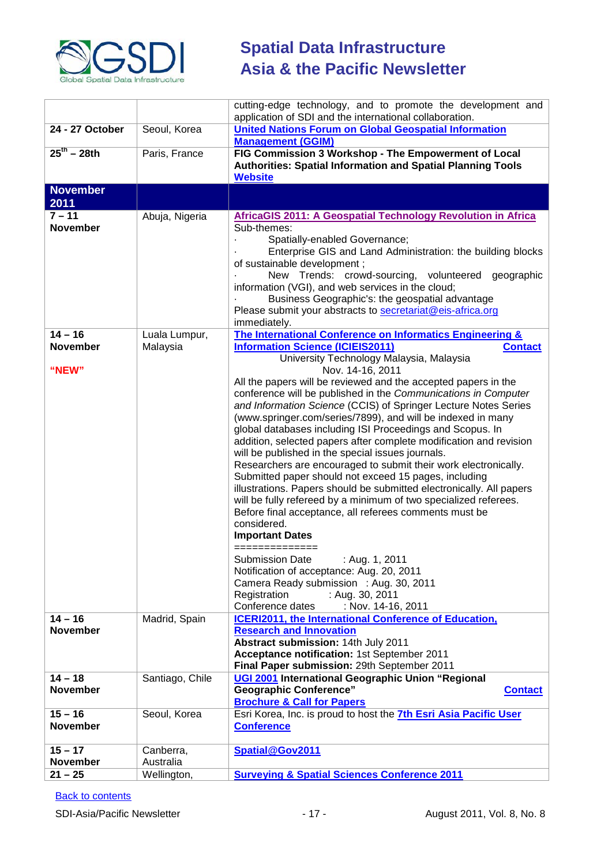

|                              |                 | cutting-edge technology, and to promote the development and                                                                                                                                                                                                                                                                                                                                                                                                                                                                                                                                                                                                                                                                                                                                                                                                                                                                                                                                                                                                              |
|------------------------------|-----------------|--------------------------------------------------------------------------------------------------------------------------------------------------------------------------------------------------------------------------------------------------------------------------------------------------------------------------------------------------------------------------------------------------------------------------------------------------------------------------------------------------------------------------------------------------------------------------------------------------------------------------------------------------------------------------------------------------------------------------------------------------------------------------------------------------------------------------------------------------------------------------------------------------------------------------------------------------------------------------------------------------------------------------------------------------------------------------|
| 24 - 27 October              | Seoul, Korea    | application of SDI and the international collaboration.<br><b>United Nations Forum on Global Geospatial Information</b>                                                                                                                                                                                                                                                                                                                                                                                                                                                                                                                                                                                                                                                                                                                                                                                                                                                                                                                                                  |
|                              |                 | <b>Management (GGIM)</b>                                                                                                                                                                                                                                                                                                                                                                                                                                                                                                                                                                                                                                                                                                                                                                                                                                                                                                                                                                                                                                                 |
| $25^{th} - 28th$             | Paris, France   | FIG Commission 3 Workshop - The Empowerment of Local<br><b>Authorities: Spatial Information and Spatial Planning Tools</b><br><b>Website</b>                                                                                                                                                                                                                                                                                                                                                                                                                                                                                                                                                                                                                                                                                                                                                                                                                                                                                                                             |
| <b>November</b><br>2011      |                 |                                                                                                                                                                                                                                                                                                                                                                                                                                                                                                                                                                                                                                                                                                                                                                                                                                                                                                                                                                                                                                                                          |
| $7 - 11$                     | Abuja, Nigeria  | <b>AfricaGIS 2011: A Geospatial Technology Revolution in Africa</b>                                                                                                                                                                                                                                                                                                                                                                                                                                                                                                                                                                                                                                                                                                                                                                                                                                                                                                                                                                                                      |
| <b>November</b>              |                 | Sub-themes:<br>Spatially-enabled Governance;<br>Enterprise GIS and Land Administration: the building blocks<br>of sustainable development;<br>New Trends: crowd-sourcing, volunteered geographic<br>information (VGI), and web services in the cloud;<br>Business Geographic's: the geospatial advantage<br>Please submit your abstracts to secretariat@eis-africa.org<br>immediately.                                                                                                                                                                                                                                                                                                                                                                                                                                                                                                                                                                                                                                                                                   |
| $14 - 16$                    | Luala Lumpur,   | The International Conference on Informatics Engineering &                                                                                                                                                                                                                                                                                                                                                                                                                                                                                                                                                                                                                                                                                                                                                                                                                                                                                                                                                                                                                |
| <b>November</b>              | Malaysia        | <b>Information Science (ICIEIS2011)</b><br><b>Contact</b><br>University Technology Malaysia, Malaysia                                                                                                                                                                                                                                                                                                                                                                                                                                                                                                                                                                                                                                                                                                                                                                                                                                                                                                                                                                    |
| "NEW"                        |                 | Nov. 14-16, 2011                                                                                                                                                                                                                                                                                                                                                                                                                                                                                                                                                                                                                                                                                                                                                                                                                                                                                                                                                                                                                                                         |
|                              |                 | All the papers will be reviewed and the accepted papers in the<br>conference will be published in the Communications in Computer<br>and Information Science (CCIS) of Springer Lecture Notes Series<br>(www.springer.com/series/7899), and will be indexed in many<br>global databases including ISI Proceedings and Scopus. In<br>addition, selected papers after complete modification and revision<br>will be published in the special issues journals.<br>Researchers are encouraged to submit their work electronically.<br>Submitted paper should not exceed 15 pages, including<br>illustrations. Papers should be submitted electronically. All papers<br>will be fully refereed by a minimum of two specialized referees.<br>Before final acceptance, all referees comments must be<br>considered.<br><b>Important Dates</b><br>==============<br><b>Submission Date</b><br>: Aug. 1, 2011<br>Notification of acceptance: Aug. 20, 2011<br>Camera Ready submission : Aug. 30, 2011<br>Registration<br>: Aug. 30, 2011<br>Conference dates<br>: Nov. 14-16, 2011 |
| $14 - 16$<br><b>November</b> | Madrid, Spain   | ICERI2011, the International Conference of Education,<br><b>Research and Innovation</b><br>Abstract submission: 14th July 2011<br>Acceptance notification: 1st September 2011<br>Final Paper submission: 29th September 2011                                                                                                                                                                                                                                                                                                                                                                                                                                                                                                                                                                                                                                                                                                                                                                                                                                             |
| $14 - 18$                    | Santiago, Chile | UGI 2001 International Geographic Union "Regional                                                                                                                                                                                                                                                                                                                                                                                                                                                                                                                                                                                                                                                                                                                                                                                                                                                                                                                                                                                                                        |
| <b>November</b>              |                 | <b>Geographic Conference"</b><br><b>Contact</b><br><b>Brochure &amp; Call for Papers</b>                                                                                                                                                                                                                                                                                                                                                                                                                                                                                                                                                                                                                                                                                                                                                                                                                                                                                                                                                                                 |
| $15 - 16$<br><b>November</b> | Seoul, Korea    | Esri Korea, Inc. is proud to host the 7th Esri Asia Pacific User<br><b>Conference</b>                                                                                                                                                                                                                                                                                                                                                                                                                                                                                                                                                                                                                                                                                                                                                                                                                                                                                                                                                                                    |
| $15 - 17$                    | Canberra,       | Spatial@Gov2011                                                                                                                                                                                                                                                                                                                                                                                                                                                                                                                                                                                                                                                                                                                                                                                                                                                                                                                                                                                                                                                          |
| <b>November</b>              | Australia       |                                                                                                                                                                                                                                                                                                                                                                                                                                                                                                                                                                                                                                                                                                                                                                                                                                                                                                                                                                                                                                                                          |
| $21 - 25$                    | Wellington,     | <b>Surveying &amp; Spatial Sciences Conference 2011</b>                                                                                                                                                                                                                                                                                                                                                                                                                                                                                                                                                                                                                                                                                                                                                                                                                                                                                                                                                                                                                  |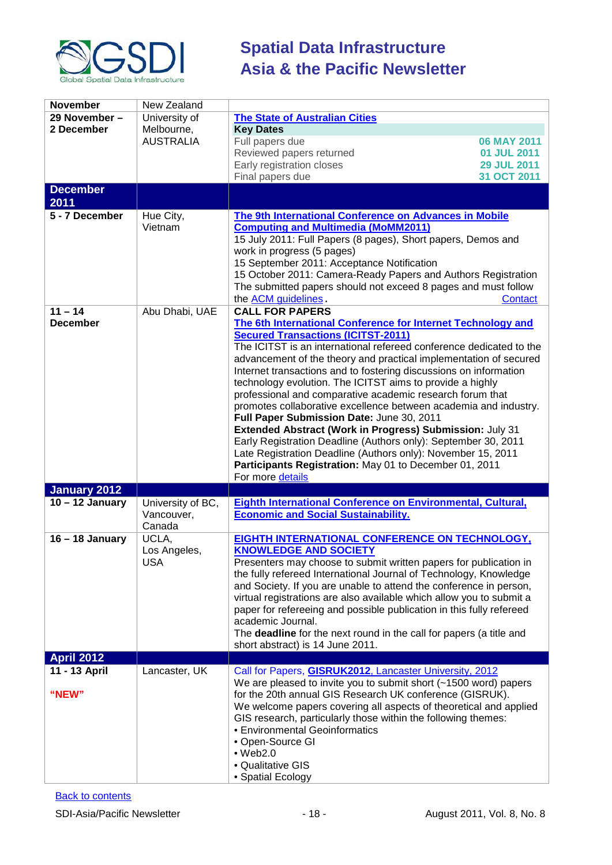

| <b>November</b>     | New Zealand       |                                                                      |
|---------------------|-------------------|----------------------------------------------------------------------|
| 29 November -       | University of     | <b>The State of Australian Cities</b>                                |
| 2 December          | Melbourne,        | <b>Key Dates</b>                                                     |
|                     | <b>AUSTRALIA</b>  | 06 MAY 2011<br>Full papers due                                       |
|                     |                   | Reviewed papers returned<br>01 JUL 2011                              |
|                     |                   | Early registration closes<br><b>29 JUL 2011</b>                      |
|                     |                   | 31 OCT 2011<br>Final papers due                                      |
| <b>December</b>     |                   |                                                                      |
|                     |                   |                                                                      |
| 2011                |                   |                                                                      |
| 5 - 7 December      | Hue City,         | The 9th International Conference on Advances in Mobile               |
|                     | Vietnam           | <b>Computing and Multimedia (MoMM2011)</b>                           |
|                     |                   | 15 July 2011: Full Papers (8 pages), Short papers, Demos and         |
|                     |                   | work in progress (5 pages)                                           |
|                     |                   | 15 September 2011: Acceptance Notification                           |
|                     |                   | 15 October 2011: Camera-Ready Papers and Authors Registration        |
|                     |                   | The submitted papers should not exceed 8 pages and must follow       |
|                     |                   | the ACM guidelines.<br>Contact                                       |
| $11 - 14$           | Abu Dhabi, UAE    | <b>CALL FOR PAPERS</b>                                               |
| <b>December</b>     |                   | The 6th International Conference for Internet Technology and         |
|                     |                   | <b>Secured Transactions (ICITST-2011)</b>                            |
|                     |                   | The ICITST is an international refereed conference dedicated to the  |
|                     |                   | advancement of the theory and practical implementation of secured    |
|                     |                   | Internet transactions and to fostering discussions on information    |
|                     |                   | technology evolution. The ICITST aims to provide a highly            |
|                     |                   | professional and comparative academic research forum that            |
|                     |                   | promotes collaborative excellence between academia and industry.     |
|                     |                   | Full Paper Submission Date: June 30, 2011                            |
|                     |                   | Extended Abstract (Work in Progress) Submission: July 31             |
|                     |                   |                                                                      |
|                     |                   | Early Registration Deadline (Authors only): September 30, 2011       |
|                     |                   | Late Registration Deadline (Authors only): November 15, 2011         |
|                     |                   | Participants Registration: May 01 to December 01, 2011               |
|                     |                   | For more details                                                     |
| <b>January 2012</b> |                   |                                                                      |
| $10 - 12$ January   | University of BC, | Eighth International Conference on Environmental, Cultural,          |
|                     | Vancouver,        | <b>Economic and Social Sustainability.</b>                           |
|                     | Canada            |                                                                      |
| $16 - 18$ January   | UCLA,             | <b>EIGHTH INTERNATIONAL CONFERENCE ON TECHNOLOGY,</b>                |
|                     | Los Angeles,      | <b>KNOWLEDGE AND SOCIETY</b>                                         |
|                     | <b>USA</b>        | Presenters may choose to submit written papers for publication in    |
|                     |                   | the fully refereed International Journal of Technology, Knowledge    |
|                     |                   | and Society. If you are unable to attend the conference in person,   |
|                     |                   | virtual registrations are also available which allow you to submit a |
|                     |                   | paper for refereeing and possible publication in this fully refereed |
|                     |                   | academic Journal.                                                    |
|                     |                   | The deadline for the next round in the call for papers (a title and  |
|                     |                   | short abstract) is 14 June 2011.                                     |
| <b>April 2012</b>   |                   |                                                                      |
| 11 - 13 April       | Lancaster, UK     | Call for Papers, GISRUK2012, Lancaster University, 2012              |
|                     |                   | We are pleased to invite you to submit short (~1500 word) papers     |
| "NEW"               |                   | for the 20th annual GIS Research UK conference (GISRUK).             |
|                     |                   | We welcome papers covering all aspects of theoretical and applied    |
|                     |                   | GIS research, particularly those within the following themes:        |
|                     |                   | • Environmental Geoinformatics                                       |
|                     |                   | • Open-Source GI                                                     |
|                     |                   | $•$ Web2.0                                                           |
|                     |                   | • Qualitative GIS                                                    |
|                     |                   | • Spatial Ecology                                                    |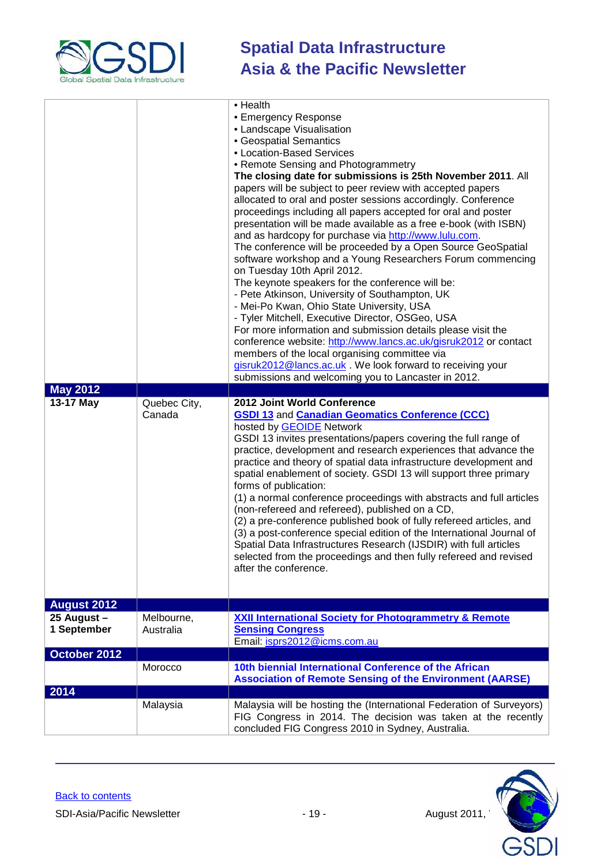

| <b>May 2012</b><br>13-17 May | Quebec City,<br>Canada  | • Health<br>• Emergency Response<br>• Landscape Visualisation<br>• Geospatial Semantics<br>• Location-Based Services<br>• Remote Sensing and Photogrammetry<br>The closing date for submissions is 25th November 2011. All<br>papers will be subject to peer review with accepted papers<br>allocated to oral and poster sessions accordingly. Conference<br>proceedings including all papers accepted for oral and poster<br>presentation will be made available as a free e-book (with ISBN)<br>and as hardcopy for purchase via http://www.lulu.com.<br>The conference will be proceeded by a Open Source GeoSpatial<br>software workshop and a Young Researchers Forum commencing<br>on Tuesday 10th April 2012.<br>The keynote speakers for the conference will be:<br>- Pete Atkinson, University of Southampton, UK<br>- Mei-Po Kwan, Ohio State University, USA<br>- Tyler Mitchell, Executive Director, OSGeo, USA<br>For more information and submission details please visit the<br>conference website: http://www.lancs.ac.uk/gisruk2012 or contact<br>members of the local organising committee via<br>gisruk2012@lancs.ac.uk . We look forward to receiving your<br>submissions and welcoming you to Lancaster in 2012.<br>2012 Joint World Conference<br><b>GSDI 13 and Canadian Geomatics Conference (CCC)</b><br>hosted by <b>GEOIDE</b> Network |
|------------------------------|-------------------------|-------------------------------------------------------------------------------------------------------------------------------------------------------------------------------------------------------------------------------------------------------------------------------------------------------------------------------------------------------------------------------------------------------------------------------------------------------------------------------------------------------------------------------------------------------------------------------------------------------------------------------------------------------------------------------------------------------------------------------------------------------------------------------------------------------------------------------------------------------------------------------------------------------------------------------------------------------------------------------------------------------------------------------------------------------------------------------------------------------------------------------------------------------------------------------------------------------------------------------------------------------------------------------------------------------------------------------------------------------------------|
|                              |                         | GSDI 13 invites presentations/papers covering the full range of<br>practice, development and research experiences that advance the<br>practice and theory of spatial data infrastructure development and<br>spatial enablement of society. GSDI 13 will support three primary<br>forms of publication:<br>(1) a normal conference proceedings with abstracts and full articles<br>(non-refereed and refereed), published on a CD,<br>(2) a pre-conference published book of fully refereed articles, and<br>(3) a post-conference special edition of the International Journal of<br>Spatial Data Infrastructures Research (IJSDIR) with full articles<br>selected from the proceedings and then fully refereed and revised<br>after the conference.                                                                                                                                                                                                                                                                                                                                                                                                                                                                                                                                                                                                              |
|                              |                         |                                                                                                                                                                                                                                                                                                                                                                                                                                                                                                                                                                                                                                                                                                                                                                                                                                                                                                                                                                                                                                                                                                                                                                                                                                                                                                                                                                   |
| <b>August 2012</b>           |                         |                                                                                                                                                                                                                                                                                                                                                                                                                                                                                                                                                                                                                                                                                                                                                                                                                                                                                                                                                                                                                                                                                                                                                                                                                                                                                                                                                                   |
| 25 August -<br>1 September   | Melbourne,<br>Australia | <b>XXII International Society for Photogrammetry &amp; Remote</b><br><b>Sensing Congress</b><br>Email: isprs2012@icms.com.au                                                                                                                                                                                                                                                                                                                                                                                                                                                                                                                                                                                                                                                                                                                                                                                                                                                                                                                                                                                                                                                                                                                                                                                                                                      |
|                              |                         |                                                                                                                                                                                                                                                                                                                                                                                                                                                                                                                                                                                                                                                                                                                                                                                                                                                                                                                                                                                                                                                                                                                                                                                                                                                                                                                                                                   |
| October 2012                 | Morocco                 | 10th biennial International Conference of the African<br><b>Association of Remote Sensing of the Environment (AARSE)</b>                                                                                                                                                                                                                                                                                                                                                                                                                                                                                                                                                                                                                                                                                                                                                                                                                                                                                                                                                                                                                                                                                                                                                                                                                                          |
| 2014                         |                         |                                                                                                                                                                                                                                                                                                                                                                                                                                                                                                                                                                                                                                                                                                                                                                                                                                                                                                                                                                                                                                                                                                                                                                                                                                                                                                                                                                   |